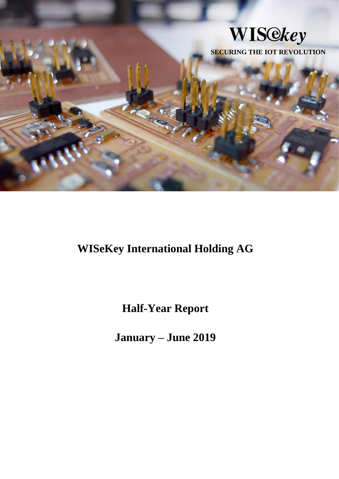

**WISeKey International Holding AG**

**Half-Year Report**

**January – June 2019**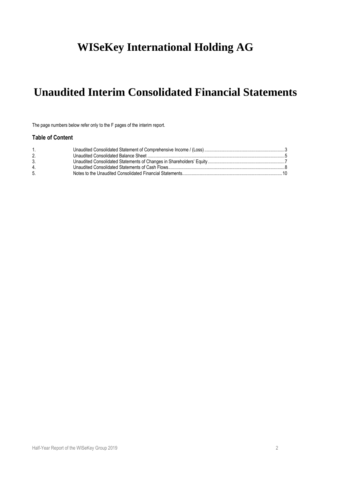# **WISeKey International Holding AG**

# **Unaudited Interim Consolidated Financial Statements**

The page numbers below refer only to the F pages of the interim report.

## **Table of Content**

| $1_{\cdot}$ |  |
|-------------|--|
|             |  |
| 3.          |  |
| 4.          |  |
| 5.          |  |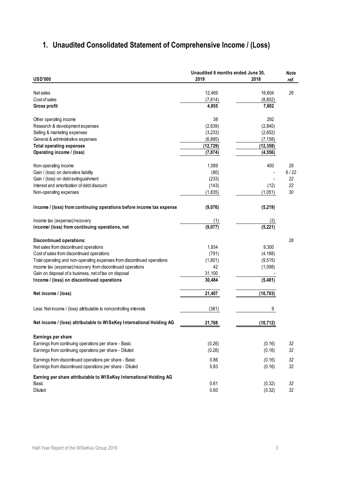## <span id="page-2-0"></span>**1. Unaudited Consolidated Statement of Comprehensive Income / (Loss)**

|                                                                         | Unaudited 6 months ended June 30, |           | <b>Note</b> |
|-------------------------------------------------------------------------|-----------------------------------|-----------|-------------|
| <b>USD'000</b>                                                          | 2019                              | 2018      | ref.        |
|                                                                         |                                   |           |             |
| Net sales                                                               | 12,469                            | 16,604    | 26          |
| Cost of sales                                                           | (7,614)                           | (8,802)   |             |
| <b>Gross profit</b>                                                     | 4,855                             | 7,802     |             |
| Other operating income                                                  | 38                                | 292       |             |
| Research & development expenses                                         | (2,639)                           | (2,840)   |             |
| Selling & marketing expenses                                            | (3,233)                           | (2,652)   |             |
| General & administrative expenses                                       | (6, 895)                          | (7, 158)  |             |
| <b>Total operating expenses</b>                                         | (12, 729)                         | (12, 358) |             |
| Operating income / (loss)                                               | (7, 874)                          | (4, 556)  |             |
|                                                                         |                                   |           |             |
| Non-operating income                                                    | 1,089                             | 400       | 29          |
| Gain / (loss) on derivative liability                                   | (80)                              |           | 6/22        |
| Gain / (loss) on debt extinguishment                                    | (233)                             |           | 22          |
| Interest and amortization of debt discount                              | (143)                             | (12)      | 22          |
| Non-operating expenses                                                  | (1, 835)                          | (1,051)   | 30          |
| Income / (loss) from continuing operations before income tax expense    | (9,076)                           | (5,219)   |             |
|                                                                         |                                   |           |             |
| Income tax (expense)/recovery                                           | (1)                               | (2)       |             |
| Income/ (loss) from continuing operations, net                          | (9,077)                           | (5, 221)  |             |
| <b>Discontinued operations:</b>                                         |                                   |           | 28          |
| Net sales from discontinued operations                                  | 1,934                             | 9,300     |             |
| Cost of sales from discontinued operations                              | (791)                             | (4, 168)  |             |
| Total operating and non-operating expenses from discontinued operations | (1,801)                           | (9, 515)  |             |
| Income tax (expense)/recovery from discontinued operations              | 42                                | (1,098)   |             |
| Gain on disposal of a business, net of tax on disposal                  | 31,100                            |           |             |
| Income / (loss) on discontinued operations                              | 30,484                            | (5,481)   |             |
|                                                                         |                                   |           |             |
| Net income / (loss)                                                     | 21,407                            | (10, 703) |             |
| Less: Net income / (loss) attributable to noncontrolling interests      | (361)                             | 9         |             |
| Net income / (loss) attributable to WISeKey International Holding AG    | 21,768                            | (10, 712) |             |
| Earnings per share                                                      |                                   |           |             |
| Earnings from continuing operations per share - Basic                   | (0.26)                            | (0.16)    | 32          |
| Earnings from continuing operations per share - Diluted                 | (0.26)                            | (0.16)    | 32          |
|                                                                         |                                   |           |             |
| Earnings from discontinued operations per share - Basic                 | 0.86                              | (0.16)    | 32          |
| Earnings from discontinued operations per share - Diluted               | 0.83                              | (0.16)    | 32          |
| Earning per share attributable to WISeKey International Holding AG      |                                   |           |             |
| Basic                                                                   | 0.61                              | (0.32)    | 32          |
| Diluted                                                                 | 0.60                              | (0.32)    | 32          |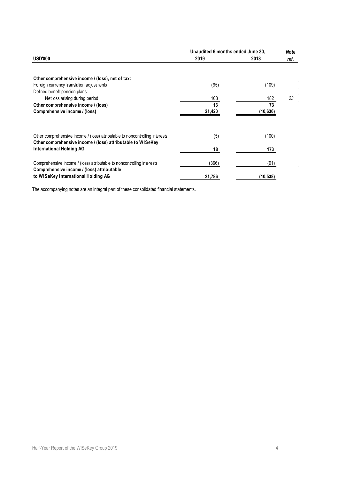|                                                                                                                                             | Unaudited 6 months ended June 30, |           | <b>Note</b> |
|---------------------------------------------------------------------------------------------------------------------------------------------|-----------------------------------|-----------|-------------|
| <b>USD'000</b>                                                                                                                              | 2019                              | 2018      | ref.        |
|                                                                                                                                             |                                   |           |             |
| Other comprehensive income / (loss), net of tax:                                                                                            |                                   |           |             |
| Foreign currency translation adjustments                                                                                                    | (95)                              | (109)     |             |
| Defined benefit pension plans:                                                                                                              |                                   |           |             |
| Net loss arising during period                                                                                                              | 108                               | 182       | 23          |
| Other comprehensive income / (loss)                                                                                                         | 13                                | 73        |             |
| Comprehensive income / (loss)                                                                                                               | 21,420                            | (10, 630) |             |
|                                                                                                                                             |                                   |           |             |
| Other comprehensive income / (loss) attributable to noncontrolling interests<br>Other comprehensive income / (loss) attributable to WISeKey | (5)                               | (100)     |             |
| <b>International Holding AG</b>                                                                                                             | 18                                | 173       |             |
| Comprehensive income / (loss) attributable to noncontrolling interests<br>Comprehensive income / (loss) attributable                        | (366)                             | (91)      |             |
| to WISeKey International Holding AG                                                                                                         | 21,786                            | (10, 538) |             |

The accompanying notes are an integral part of these consolidated financial statements.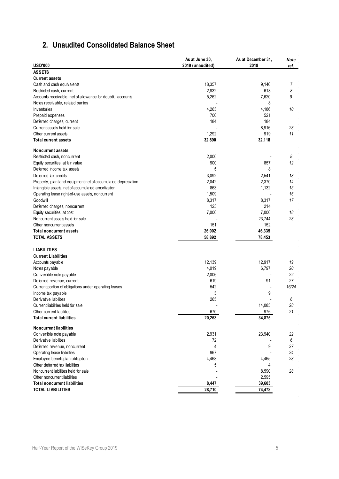## <span id="page-4-0"></span>**2. Unaudited Consolidated Balance Sheet**

|                                                               | As at June 30,   | As at December 31, | Note   |
|---------------------------------------------------------------|------------------|--------------------|--------|
| <b>USD'000</b>                                                | 2019 (unaudited) | 2018               | ref.   |
| <b>ASSETS</b>                                                 |                  |                    |        |
| <b>Current assets</b>                                         |                  |                    |        |
| Cash and cash equivalents                                     | 18,357           | 9,146<br>618       | 7      |
| Restricted cash, current                                      | 2,832            | 7,620              | 8<br>9 |
| Accounts receivable, net of allowance for doubtful accounts   | 5,262            | 8                  |        |
| Notes receivable, related parties<br>Inventories              | 4,263            | 4,186              | 10     |
| Prepaid expenses                                              | 700              | 521                |        |
| Deferred charges, current                                     | 184              | 184                |        |
| Current assets held for sale                                  |                  | 8,916              | 28     |
| Other current assets                                          | 1,292            | 919                | 11     |
| <b>Total current assets</b>                                   | 32,890           | 32,118             |        |
|                                                               |                  |                    |        |
| <b>Noncurrent assets</b>                                      |                  |                    |        |
| Restricted cash, noncurrent                                   | 2,000            |                    | 8      |
| Equity securities, at fair value                              | 900              | 857                | 12     |
| Deferred income tax assets                                    | 5                | 8                  |        |
| Deferred tax credits                                          | 3,092            | 2,541              | 13     |
| Property, plant and equipment net of accumulated depreciation | 2,042            | 2,370              | 14     |
| Intangible assets, net of accumulated amortization            | 863              | 1,132              | 15     |
| Operating lease right-of-use assets, noncurrent               | 1,509            | $\overline{a}$     | 16     |
| Goodwill                                                      | 8,317            | 8,317              | 17     |
| Deferred charges, noncurrent                                  | 123              | 214                |        |
| Equity securities, at cost                                    | 7,000            | 7,000              | 18     |
| Noncurrent assets held for sale                               |                  | 23,744             | 28     |
| Other noncurrent assets                                       | 151              | 152                |        |
| <b>Total noncurrent assets</b>                                | 26,002           | 46,335             |        |
| <b>TOTAL ASSETS</b>                                           | 58,892           | 78,453             |        |
| <b>LIABILITIES</b>                                            |                  |                    |        |
| <b>Current Liabilities</b>                                    |                  |                    |        |
| Accounts payable                                              | 12,139           | 12,917             | 19     |
| Notes payable                                                 | 4,019            | 6,797              | 20     |
| Convertible note payable                                      | 2,006            |                    | 22     |
| Deferred revenue, current                                     | 619              | 91                 | 27     |
| Current portion of obligations under operating leases         | 542              |                    | 16/24  |
| Income tax payable                                            | 3                | 9                  |        |
| Derivative liabilities                                        | 265              |                    | 6      |
| Current liabilities held for sale                             |                  | 14,085             | 28     |
| Other current liabilities                                     | 670              | 976                | 21     |
| <b>Total current liabilities</b>                              | 20,263           | 34,875             |        |
| <b>Noncurrent liabilities</b>                                 |                  |                    |        |
| Convertible note payable                                      | 2,931            | 23,940             | 22     |
| Derivative liabilities                                        | 72               |                    | 6      |
| Deferred revenue, noncurrent                                  | 4                | 9                  | 27     |
| Operating lease liabilities                                   | 967              |                    | 24     |
| Employee benefit plan obligation                              | 4,468            | 4,465              | 23     |
| Other deferred tax liabilities                                | 5                | 4                  |        |
| Noncurrent liabilities held for sale                          |                  | 8,590              | 28     |
| Other noncurrent liabilities                                  |                  | 2,595              |        |
| <b>Total noncurrent liabilities</b>                           | 8,447            | 39,603             |        |
| <b>TOTAL LIABILITIES</b>                                      | 28,710           | 74,478             |        |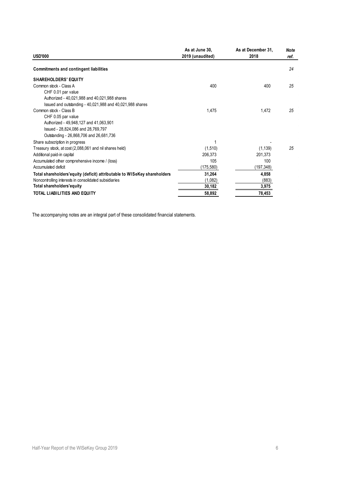|                                                                           | As at June 30,   | As at December 31, | Note |
|---------------------------------------------------------------------------|------------------|--------------------|------|
| <b>USD'000</b>                                                            | 2019 (unaudited) | 2018               | ref. |
| <b>Commitments and contingent liabilities</b>                             |                  |                    | 24   |
| <b>SHAREHOLDERS' EQUITY</b>                                               |                  |                    |      |
| Common stock - Class A                                                    | 400              | 400                | 25   |
| CHF 0.01 par value                                                        |                  |                    |      |
| Authorized - 40,021,988 and 40,021,988 shares                             |                  |                    |      |
| Issued and outstanding - 40,021,988 and 40,021,988 shares                 |                  |                    |      |
| Common stock - Class B                                                    | 1,475            | 1,472              | 25   |
| CHF 0.05 par value                                                        |                  |                    |      |
| Authorized - 49,948,127 and 41,063,901                                    |                  |                    |      |
| Issued - 28,824,086 and 28,769,797                                        |                  |                    |      |
| Outstanding - 26,868,706 and 26,681,736                                   |                  |                    |      |
| Share subscription in progress                                            |                  |                    |      |
| Treasury stock, at cost (2,088,061 and nil shares held)                   | (1,510)          | (1, 139)           | 25   |
| Additional paid-in capital                                                | 206,373          | 201,373            |      |
| Accumulated other comprehensive income / (loss)                           | 105              | 100                |      |
| Accumulated deficit                                                       | (175,580)        | (197,348)          |      |
| Total shareholders' equity (deficit) attributable to WISeKey shareholders | 31,264           | 4,858              |      |
| Noncontrolling interests in consolidated subsidiaries                     | (1,082)          | (883)              |      |
| Total shareholders'equity                                                 | 30,182           | 3,975              |      |
| TOTAL LIABILITIES AND EQUITY                                              | 58,892           | 78,453             |      |

The accompanying notes are an integral part of these consolidated financial statements.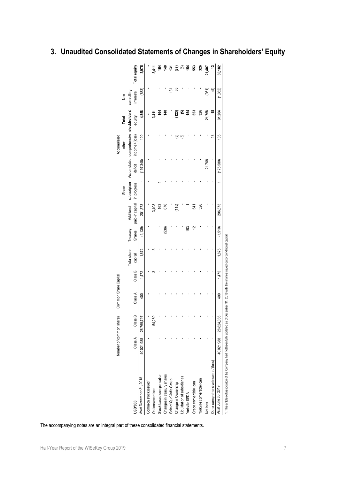|                                                                                                                                                     | Number of common shares |                       | Common Share Capital |         |             |               |                 |             |           | Accumulated                                          |                |                |              |
|-----------------------------------------------------------------------------------------------------------------------------------------------------|-------------------------|-----------------------|----------------------|---------|-------------|---------------|-----------------|-------------|-----------|------------------------------------------------------|----------------|----------------|--------------|
|                                                                                                                                                     |                         |                       |                      |         |             |               |                 | Share       |           | other                                                | Total          | Non            |              |
|                                                                                                                                                     |                         |                       |                      |         | Total share | Treasury      | Additional      |             |           | subscription Accumulated comprehensive stockholders' |                | controlling    |              |
| ນຄະນາ                                                                                                                                               | Class A                 | Class B               | Class A              | Class B | capital     | <b>Shares</b> | paid-in capital | in progress | deficit   | income/(loss)                                        | equity         | interests      | Total equity |
| As at December 31, 2018                                                                                                                             | 40,021,988              | 28,769,797            | 400                  | 1,472   | 1,872       | (1, 139)      | 201,373         |             | (197,348) | $\frac{100}{2}$                                      | 4,858          | (883)          | 3,975        |
| Common stock issued                                                                                                                                 |                         |                       |                      |         |             |               |                 |             |           |                                                      |                |                |              |
| Options exercised                                                                                                                                   |                         | 54,289                |                      |         |             |               | 3,408           |             |           |                                                      | $\ddot{34}$    |                | 3,411        |
| Stock-based compensation                                                                                                                            |                         |                       |                      |         |             |               | 163             |             |           |                                                      | 164            |                | 164          |
| Changes in treasury shares                                                                                                                          |                         |                       |                      |         |             | (536)         | 676             |             |           |                                                      | $\frac{40}{5}$ |                | 40           |
| Sale of QuoVadis Group                                                                                                                              |                         |                       |                      |         |             |               |                 |             |           |                                                      |                | $\frac{5}{13}$ | š            |
| Change in Ownership                                                                                                                                 |                         |                       |                      |         |             |               | (115)           |             |           | ⊚                                                    | (123)          | ఇ              | e)           |
| Liquidation of subsidiaries                                                                                                                         |                         |                       |                      |         |             |               |                 |             |           | 6                                                    | 10             |                | ව            |
| Yorkville SEDA                                                                                                                                      |                         |                       |                      |         |             | 153           |                 |             |           |                                                      | 154            |                | 154          |
| Crede convertible loan                                                                                                                              |                         |                       |                      |         |             | 2             | 541             |             |           |                                                      | 553            |                | 553          |
| Yorkville convertible loan                                                                                                                          |                         |                       |                      |         |             |               | 326             |             |           |                                                      | 326            |                | 326          |
| Net loss                                                                                                                                            |                         |                       |                      |         |             |               |                 |             | 21,768    |                                                      | 21,768         | (361)          | 21,407       |
| Other comprehensive income / (loss)                                                                                                                 |                         |                       |                      |         |             |               |                 |             |           | ₽                                                    | ₽              | 0              |              |
| As at June 30, 2019                                                                                                                                 |                         | 40,021,988 28,824,086 | 400                  | 1,475   | 1,875       | (1,510)       | 206,373         |             | (175,580) | 105                                                  | 31,264         | (1,082)        | 30,182       |
| 1. The articles of association of the Company had not been fully updated as of December 31, 2018 with the shares issued out of conditional capital. |                         |                       |                      |         |             |               |                 |             |           |                                                      |                |                |              |

## <span id="page-6-0"></span>**3. Unaudited Consolidated Statements of Changes in Shareholders' Equity**

The accompanying notes are an integral part of these consolidated financial statements.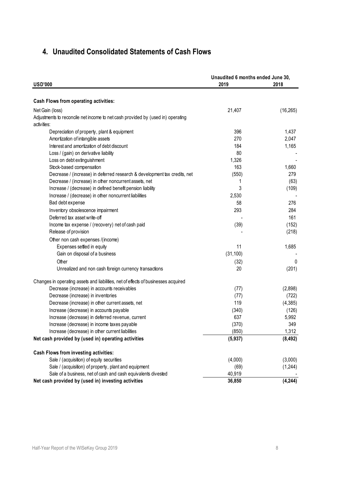## <span id="page-7-0"></span>**4. Unaudited Consolidated Statements of Cash Flows**

| <b>USD'000</b>                                                                     | Unaudited 6 months ended June 30,<br>2019 | 2018      |
|------------------------------------------------------------------------------------|-------------------------------------------|-----------|
|                                                                                    |                                           |           |
| Cash Flows from operating activities:                                              |                                           |           |
| Net Gain (loss)                                                                    | 21,407                                    | (16, 265) |
| Adjustments to reconcile net income to net cash provided by (used in) operating    |                                           |           |
| activities:                                                                        |                                           |           |
| Depreciation of property, plant & equipment                                        | 396                                       | 1,437     |
| Amortization of intangible assets                                                  | 270                                       | 2,047     |
| Interest and amortization of debt discount                                         | 184                                       | 1,165     |
| Loss / (gain) on derivative liability                                              | 80                                        |           |
| Loss on debt extinguishment                                                        | 1,326                                     |           |
| Stock-based compensation                                                           | 163                                       | 1,660     |
| Decrease / (increase) in deferred research & development tax credits, net          | (550)                                     | 279       |
| Decrease / (increase) in other noncurrent assets, net                              | 1                                         | (63)      |
| Increase / (decrease) in defined benefit pension liability                         | 3                                         | (109)     |
| Increase / (decrease) in other noncurrent liabilities                              | 2,530                                     |           |
| Bad debt expense                                                                   | 58                                        | 276       |
| Inventory obsolescence impairment                                                  | 293                                       | 284       |
| Deferred tax asset write-off                                                       |                                           | 161       |
| Income tax expense / (recovery) net of cash paid                                   | (39)                                      | (152)     |
| Release of provision                                                               |                                           | (218)     |
| Other non cash expenses /(income)                                                  |                                           |           |
| Expenses settled in equity                                                         | 11                                        | 1,685     |
| Gain on disposal of a business                                                     | (31, 100)                                 |           |
| Other                                                                              | (32)                                      | 0         |
| Unrealized and non cash foreign currency transactions                              | 20                                        | (201)     |
|                                                                                    |                                           |           |
| Changes in operating assets and liabilities, net of effects of businesses acquired |                                           |           |
| Decrease (increase) in accounts receivables                                        | (77)                                      | (2,898)   |
| Decrease (increase) in inventories                                                 | (77)                                      | (722)     |
| Decrease (increase) in other current assets, net                                   | 119                                       | (4, 385)  |
| Increase (decrease) in accounts payable                                            | (340)                                     | (126)     |
| Increase (decrease) in deferred revenue, current                                   | 637                                       | 5,992     |
| Increase (decrease) in income taxes payable                                        | (370)                                     | 349       |
| Increase (decrease) in other current liabilities                                   | (850)                                     | 1,312     |
| Net cash provided by (used in) operating activities                                | (5, 937)                                  | (8, 492)  |
| Cash Flows from investing activities:                                              |                                           |           |
| Sale / (acquisition) of equity securities                                          | (4,000)                                   | (3,000)   |
| Sale / (acquisition) of property, plant and equipment                              | (69)                                      | (1, 244)  |
| Sale of a business, net of cash and cash equivalents divested                      | 40,919                                    |           |
| Net cash provided by (used in) investing activities                                | 36,850                                    | (4, 244)  |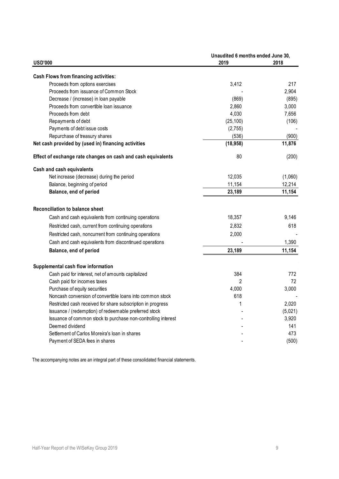|                                                               | Unaudited 6 months ended June 30, |         |
|---------------------------------------------------------------|-----------------------------------|---------|
| <b>USD'000</b>                                                | 2019                              | 2018    |
| <b>Cash Flows from financing activities:</b>                  |                                   |         |
| Proceeds from options exercises                               | 3,412                             | 217     |
| Proceeds from issuance of Common Stock                        |                                   | 2,904   |
| Decrease / (increase) in loan payable                         | (869)                             | (895)   |
| Proceeds from convertible loan issuance                       | 2,860                             | 3,000   |
| Proceeds from debt                                            | 4,030                             | 7,656   |
| Repayments of debt                                            | (25, 100)                         | (106)   |
| Payments of debt issue costs                                  | (2,755)                           |         |
| Repurchase of treasury shares                                 | (536)                             | (900)   |
| Net cash provided by (used in) financing activities           | (18, 958)                         | 11,876  |
| Effect of exchange rate changes on cash and cash equivalents  | 80                                | (200)   |
| Cash and cash equivalents                                     |                                   |         |
| Net increase (decrease) during the period                     | 12,035                            | (1,060) |
| Balance, beginning of period                                  | 11,154                            | 12,214  |
| Balance, end of period                                        | 23,189                            | 11,154  |
| Reconciliation to balance sheet                               |                                   |         |
| Cash and cash equivalents from continuing operations          | 18,357                            | 9,146   |
| Restricted cash, current from continuing operations           | 2,832                             | 618     |
| Restricted cash, noncurrent from continuing operations        | 2,000                             |         |
| Cash and cash equivalents from discontinued operations        |                                   | 1,390   |
| Balance, end of period                                        | 23,189                            | 11,154  |
| Supplemental cash flow information                            |                                   |         |
| Cash paid for interest, net of amounts capitalized            | 384                               | 772     |
| Cash paid for incomes taxes                                   | $\overline{2}$                    | 72      |
| Purchase of equity securities                                 | 4,000                             | 3,000   |
| Noncash conversion of convertible loans into common stock     | 618                               |         |
| Restricted cash received for share subscription in progress   | 1                                 | 2,020   |
| Issuance / (redemption) of redeemable preferred stock         |                                   | (5,021) |
| Issuance of common stock to purchase non-controlling interest |                                   | 3,920   |
| Deemed dividend                                               |                                   | 141     |
| Settlement of Carlos Moreira's loan in shares                 |                                   | 473     |
| Payment of SEDA fees in shares                                |                                   | (500)   |

The accompanying notes are an integral part of these consolidated financial statements.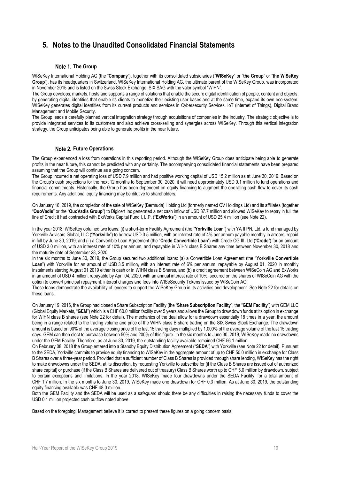## <span id="page-9-0"></span>**5. Notes to the Unaudited Consolidated Financial Statements**

### **Note 1. The Group**

WISeKey International Holding AG (the "**Company**"), together with its consolidated subsidiaries ("**WISeKey**" or "**the Group**" or "**the WISeKey Group**"), has its headquarters in Switzerland. WISeKey International Holding AG, the ultimate parent of the WISeKey Group, was incorporated in November 2015 and is listed on the Swiss Stock Exchange, SIX SAG with the valor symbol "WIHN".

The Group develops, markets, hosts and supports a range of solutions that enable the secure digital identification of people, content and objects, by generating digital identities that enable its clients to monetize their existing user bases and at the same time, expand its own eco-system. WISeKey generates digital identities from its current products and services in Cybersecurity Services, IoT (internet of Things), Digital Brand Management and Mobile Security.

The Group leads a carefully planned vertical integration strategy through acquisitions of companies in the industry. The strategic objective is to provide integrated services to its customers and also achieve cross-selling and synergies across WISeKey. Through this vertical integration strategy, the Group anticipates being able to generate profits in the near future.

### **Note 2. Future Operations**

The Group experienced a loss from operations in this reporting period. Although the WISeKey Group does anticipate being able to generate profits in the near future, this cannot be predicted with any certainty. The accompanying consolidated financial statements have been prepared assuming that the Group will continue as a going concern.

The Group incurred a net operating loss of USD 7.9 million and had positive working capital of USD 15.2 million as at June 30, 2019. Based on the Group's cash projections for the next 12 months to September 30, 2020, it will need approximately USD 0.1 million to fund operations and financial commitments. Historically, the Group has been dependent on equity financing to augment the operating cash flow to cover its cash requirements. Any additional equity financing may be dilutive to shareholders.

On January 16, 2019, the completion of the sale of WISeKey (Bermuda) Holding Ltd (formerly named QV Holdings Ltd) and its affiliates (together "**QuoVadis**" or the "**QuoVadis Group**") to Digicert Inc generated a net cash inflow of USD 37.7 million and allowed WISeKey to repay in full the line of Credit it had contracted with ExWorks Capital Fund I, L.P. ("**ExWorks**") in an amount of USD 25.4 million (se[e Note 22\).](#page-18-0)

In the year 2018, WISeKey obtained two loans: (i) a short-term Facility Agreement (the "**Yorkville Loan**") with YA II PN, Ltd. a fund managed by Yorkville Advisors Global, LLC ("**Yorkville**") to borrow USD 3.5 million, with an interest rate of 4% per annum payable monthly in arrears, repaid in full by June 30, 2019; and (ii) a Convertible Loan Agreement (the "**Crede Convertible Loan**") with Crede CG III, Ltd ("**Crede**") for an amount of USD 3.0 million, with an interest rate of 10% per annum, and repayable in WIHN class B Shares any time between November 30, 2018 and the maturity date of September 28, 2020.

In the six months to June 30, 2019, the Group secured two additional loans: (a) a Convertible Loan Agreement (the "**Yorkville Convertible**  Loan") with Yorkville for an amount of USD 3.5 million, with an interest rate of 6% per annum, repayable by August 01, 2020 in monthly instalments starting August 01 2019 either in cash or in WIHN class B Shares, and (b) a credit agreement between WISeCoin AG and ExWorks in an amount of USD 4 million, repayable by April 04, 2020, with an annual interest rate of 10%, secured on the shares of WISeCoin AG with the option to convert principal repayment, interest charges and fees into WISeSecurity Tokens issued by WISeCoin AG.

These loans demonstrate the availability of lenders to support the WISeKey Group in its activities and development. Se[e Note 22](#page-18-0) for details on these loans.

On January 19, 2016, the Group had closed a Share Subscription Facility (the "**Share Subscription Facility**", the "**GEM Facility**") with GEM LLC (Global Equity Markets, "**GEM**") which is a CHF 60.0 million facility over 5 years and allows the Group to draw down funds at its option in exchange for WIHN class B shares (see [Note 22](#page-18-0) for detail). The mechanics of the deal allow for a drawdown essentially 18 times in a year, the amount being in a range related to the trading volume and price of the WIHN class B share trading on the SIX Swiss Stock Exchange. The drawdown amount is based on 90% of the average closing price of the last 15 trading days multiplied by 1,000% of the average volume of the last 15 trading days. GEM can then elect to purchase between 50% and 200% of this figure. In the six months to June 30, 2019, WISeKey made no drawdowns under the GEM Facility. Therefore, as at June 30, 2019, the outstanding facility available remained CHF 56.1 million.

On February 08, 2018 the Group entered into a Standby Equity Distribution Agreement ("**SEDA**") with Yorkville (see [Note 22](#page-18-0) for detail). Pursuant to the SEDA, Yorkville commits to provide equity financing to WISeKey in the aggregate amount of up to CHF 50.0 million in exchange for Class B Shares over a three-year period. Provided that a sufficient number of Class B Shares is provided through share lending, WISeKey has the right to make drawdowns under the SEDA, at its discretion, by requesting Yorkville to subscribe for (if the Class B Shares are issued out of authorized share capital) or purchase (if the Class B Shares are delivered out of treasury) Class B Shares worth up to CHF 5.0 million by drawdown, subject to certain exceptions and limitations. In the year 2018, WISeKey made four drawdowns under the SEDA Facility, for a total amount of CHF 1.7 million. In the six months to June 30, 2019, WISeKey made one drawdown for CHF 0.3 million. As at June 30, 2019, the outstanding equity financing available was CHF 48.0 million.

Both the GEM Facility and the SEDA will be used as a safeguard should there be any difficulties in raising the necessary funds to cover the USD 0.1 million projected cash outflow noted above.

Based on the foregoing, Management believe it is correct to present these figures on a going concern basis.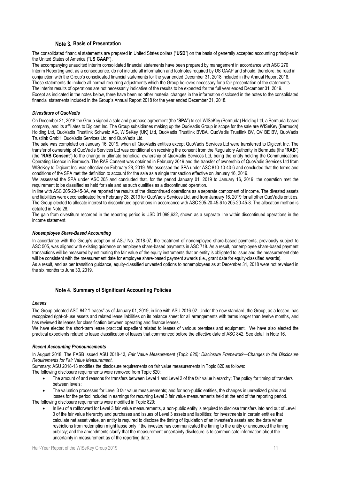### **Basis of Presentation**

The consolidated financial statements are prepared in United States dollars ("**USD**") on the basis of generally accepted accounting principles in the United States of America ("**US GAAP**").

The accompanying unaudited interim consolidated financial statements have been prepared by management in accordance with ASC 270 Interim Reporting and, as a consequence, do not include all information and footnotes required by US GAAP and should, therefore, be read in conjunction with the Group's consolidated financial statements for the year ended December 31, 2018 included in the Annual Report 2018. These statements do include all normal recurring adjustments which the Group believes necessary for a fair presentation of the statements. The interim results of operations are not necessarily indicative of the results to be expected for the full year ended December 31, 2019. Except as indicated in the notes below, there have been no other material changes in the information disclosed in the notes to the consolidated financial statements included in the Group's Annual Report 2018 for the year ended December 31, 2018.

### *Divestiture of QuoVadis*

On December 21, 2018 the Group signed a sale and purchase agreement (the "**SPA**") to sell WISeKey (Bermuda) Holding Ltd, a Bermuda-based company, and its affiliates to Digicert Inc. The Group subsidiaries making up the QuoVadis Group in scope for the sale are WISeKey (Bermuda) Holding Ltd, QuoVadis Trustlink Schweiz AG, WISeKey (UK) Ltd, QuoVadis Trustlink BVBA, QuoVadis Trustlink BV, QV BE BV, QuoVadis Trustlink GmbH, QuoVadis Services Ltd, and QuoVadis Ltd.

The sale was completed on January 16, 2019, when all QuoVadis entities except QuoVadis Services Ltd were transferred to Digicert Inc. The transfer of ownership of QuoVadis Services Ltd was conditional on receiving the consent from the Regulatory Authority in Bermuda (the "**RAB**") (the "**RAB Consent**") to the change in ultimate beneficial ownership of QuoVadis Services Ltd, being the entity holding the Communications Operating Licence in Bermuda. The RAB Consent was obtained in February 2019 and the transfer of ownership of QuoVadis Services Ltd from WISeKey to Digicert Inc. was effective on February 28, 2019. We assessed the SPA under ASC 810-10-40-6 and concluded that the terms and conditions of the SPA met the definition to account for the sale as a single transaction effective on January 16, 2019.

We assessed the SPA under ASC 205 and concluded that, for the period January 01, 2019 to January 16, 2019, the operation met the requirement to be classified as held for sale and as such qualifies as a discontinued operation.

In line with ASC 205-20-45-3A, we reported the results of the discontinued operations as a separate component of income. The divested assets and liabilities were deconsolidated from February 28, 2019 for QuoVadis Services Ltd, and from January 16, 2019 for all other QuoVadis entities. The Group elected to allocate interest to discontinued operations in accordance with ASC 205-20-45-6 to 205-20-45-8. The allocation method is detailed i[n Note 28.](#page-27-0)

The gain from divestiture recorded in the reporting period is USD 31,099,632, shown as a separate line within discontinued operations in the income statement.

### *Nonemployee Share-Based Accounting*

In accordance with the Group's adoption of ASU No. 2018-07, the treatment of nonemployee share-based payments, previously subject to ASC 505, was aligned with existing guidance on employee share-based payments in ASC 718. As a result, nonemployee share-based payment transactions will be measured by estimating the fair value of the equity instruments that an entity is obligated to issue and the measurement date will be consistent with the measurement date for employee share-based payment awards (i.e., grant date for equity-classified awards). As a result, and as per transition guidance, equity-classified unvested options to nonemployees as at December 31, 2018 were not revalued in the six months to June 30, 2019.

### **Summary of Significant Accounting Policies**

### *Leases*

The Group adopted ASC 842 "Leases" as of January 01, 2019, in line with ASU 2016-02. Under the new standard, the Group, as a lessee, has recognized right-of-use assets and related lease liabilities on its balance sheet for all arrangements with terms longer than twelve months, and has reviewed its leases for classification between operating and finance leases.

We have elected the short-term lease practical expedient related to leases of various premises and equipment. We have also elected the practical expedients related to lease classification of leases that commenced before the effective date of ASC 842. See detail in Note 16.

### *Recent Accounting Pronouncements*

In August 2018, The FASB issued ASU 2018-13, *Fair Value Measurement (Topic 820): Disclosure Framework—Changes to the Disclosure Requirements for Fair Value Measurement*.

Summary: ASU 2018-13 modifies the disclosure requirements on fair value measurements in Topic 820 as follows:

The following disclosure requirements were removed from Topic 820:

- The amount of and reasons for transfers between Level 1 and Level 2 of the fair value hierarchy; The policy for timing of transfers between levels;
- The valuation processes for Level 3 fair value measurements; and for non-public entities, the changes in unrealized gains and losses for the period included in earnings for recurring Level 3 fair value measurements held at the end of the reporting period. The following disclosure requirements were modified in Topic 820:
	- In lieu of a rollforward for Level 3 fair value measurements, a non-public entity is required to disclose transfers into and out of Level 3 of the fair value hierarchy and purchases and issues of Level 3 assets and liabilities; for investments in certain entities that calculate net asset value, an entity is required to disclose the timing of liquidation of an investee's assets and the date when restrictions from redemption might lapse only if the investee has communicated the timing to the entity or announced the timing publicly; and the amendments clarify that the measurement uncertainty disclosure is to communicate information about the uncertainty in measurement as of the reporting date.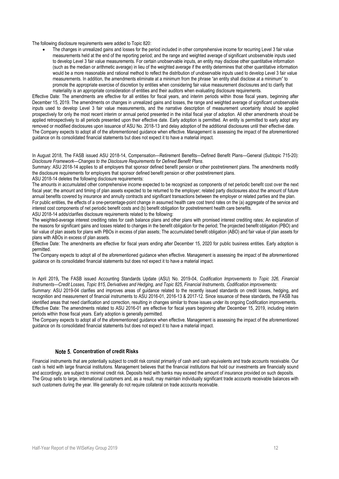The following disclosure requirements were added to Topic 820:

 The changes in unrealized gains and losses for the period included in other comprehensive income for recurring Level 3 fair value measurements held at the end of the reporting period; and the range and weighted average of significant unobservable inputs used to develop Level 3 fair value measurements. For certain unobservable inputs, an entity may disclose other quantitative information (such as the median or arithmetic average) in lieu of the weighted average if the entity determines that other quantitative information would be a more reasonable and rational method to reflect the distribution of unobservable inputs used to develop Level 3 fair value measurements. In addition, the amendments eliminate at a minimum from the phrase "an entity shall disclose at a minimum" to promote the appropriate exercise of discretion by entities when considering fair value measurement disclosures and to clarify that materiality is an appropriate consideration of entities and their auditors when evaluating disclosure requirements.

Effective Date: The amendments are effective for all entities for fiscal years, and interim periods within those fiscal years, beginning after December 15, 2019. The amendments on changes in unrealized gains and losses, the range and weighted average of significant unobservable inputs used to develop Level 3 fair value measurements, and the narrative description of measurement uncertainty should be applied prospectively for only the most recent interim or annual period presented in the initial fiscal year of adoption. All other amendments should be applied retrospectively to all periods presented upon their effective date. Early adoption is permitted. An entity is permitted to early adopt any removed or modified disclosures upon issuance of ASU No. 2018-13 and delay adoption of the additional disclosures until their effective date. The Company expects to adopt all of the aforementioned guidance when effective. Management is assessing the impact of the aforementioned guidance on its consolidated financial statements but does not expect it to have a material impact.

In August 2018, The FASB issued ASU 2018-14, Compensation—Retirement Benefits—Defined Benefit Plans—General (Subtopic 715-20): *Disclosure Framework—Changes to the Disclosure Requirements for Defined Benefit Plans.*

Summary: ASU 2018-14 applies to all employers that sponsor defined benefit pension or other postretirement plans. The amendments modify the disclosure requirements for employers that sponsor defined benefit pension or other postretirement plans.

ASU 2018-14 deletes the following disclosure requirements:

The amounts in accumulated other comprehensive income expected to be recognized as components of net periodic benefit cost over the next fiscal year; the amount and timing of plan assets expected to be returned to the employer; related party disclosures about the amount of future annual benefits covered by insurance and annuity contracts and significant transactions between the employer or related parties and the plan. For public entities, the effects of a one-percentage-point change in assumed health care cost trend rates on the (a) aggregate of the service and interest cost components of net periodic benefit costs and (b) benefit obligation for postretirement health care benefits.

ASU 2018-14 adds/clarifies disclosure requirements related to the following:

The weighted-average interest crediting rates for cash balance plans and other plans with promised interest crediting rates; An explanation of the reasons for significant gains and losses related to changes in the benefit obligation for the period; The projected benefit obligation (PBO) and fair value of plan assets for plans with PBOs in excess of plan assets; The accumulated benefit obligation (ABO) and fair value of plan assets for plans with ABOs in excess of plan assets.

Effective Date: The amendments are effective for fiscal years ending after December 15, 2020 for public business entities. Early adoption is permitted.

The Company expects to adopt all of the aforementioned guidance when effective. Management is assessing the impact of the aforementioned guidance on its consolidated financial statements but does not expect it to have a material impact.

In April 2019**,** The [FASB](https://www.fasb.org/home) issued Accounting Standards Update (ASU) No. 2019-04, *Codification Improvements to Topic 326, Financial Instruments—Credit Losses, Topic 815, Derivatives and Hedging, and Topic 825, Financial Instruments, Codification improvements:*

Summary: ASU 2019-04 clarifies and improves areas of guidance related to the recently issued standards on credit losses, hedging, and recognition and measurement of financial instruments to ASU 2016-01, 2016-13 & 2017-12. Since issuance of these standards, the FASB has identified areas that need clarification and correction, resulting in changes similar to those issues under its ongoing Codification improvements. Effective Date: The amendments related to ASU 2016-01 are effective for fiscal years beginning after December 15, 2019, including interim periods within those fiscal years. Early adoption is generally permitted.

The Company expects to adopt all of the aforementioned guidance when effective. Management is assessing the impact of the aforementioned guidance on its consolidated financial statements but does not expect it to have a material impact.

### **Concentration of credit Risks**

Financial instruments that are potentially subject to credit risk consist primarily of cash and cash equivalents and trade accounts receivable. Our cash is held with large financial institutions. Management believes that the financial institutions that hold our investments are financially sound and accordingly, are subject to minimal credit risk. Deposits held with banks may exceed the amount of insurance provided on such deposits. The Group sells to large, international customers and, as a result, may maintain individually significant trade accounts receivable balances with such customers during the year. We generally do not require collateral on trade accounts receivable.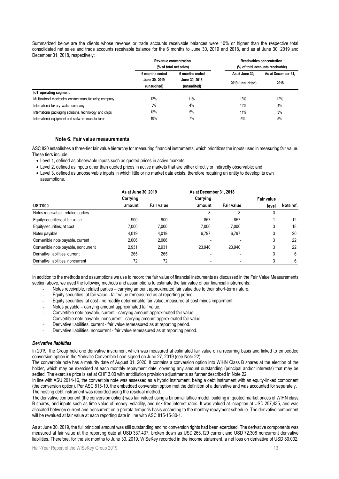Summarized below are the clients whose revenue or trade accounts receivable balances were 10% or higher than the respective total consolidated net sales and trade accounts receivable balance for the 6 months to June 30, 2019 and 2018, and as at June 30, 2019 and December 31, 2018, respectively:

|                                                          | Revenue concentration |                        |                  | Receivables concentration        |
|----------------------------------------------------------|-----------------------|------------------------|------------------|----------------------------------|
|                                                          |                       | (% of total net sales) |                  | (% of total accounts receivable) |
|                                                          | 6 months ended        | 6 months ended         | As at June 30.   | As at December 31,               |
|                                                          | June 30, 2019         | June 30, 2018          | 2019 (unaudited) | 2018                             |
|                                                          | (unaudited)           | (unaudited)            |                  |                                  |
| loT operating segment                                    |                       |                        |                  |                                  |
| Multinational electronics contract manufacturing company | 12%                   | 11%                    | 13%              | 12%                              |
| International luxury watch company                       | 5%                    | 4%                     | 12%              | 4%                               |
| International packaging solutions, technology and chips  | 12%                   | 5%                     | 11%              | 3%                               |
| International equipment and software manufacturer        | 10%                   | 7%                     | 6%               | 5%                               |

### **Fair value measurements**

ASC 820 establishes a three-tier fair value hierarchy for measuring financial instruments, which prioritizes the inputs used in measuring fair value. These tiers include:

- Level 1, defined as observable inputs such as quoted prices in active markets;
- Level 2, defined as inputs other than quoted prices in active markets that are either directly or indirectly observable; and
- Level 3, defined as unobservable inputs in which little or no market data exists, therefore requiring an entity to develop its own assumptions.

|                                      | As at June 30, 2019 |            | As at December 31, 2018 |            |            |           |
|--------------------------------------|---------------------|------------|-------------------------|------------|------------|-----------|
|                                      | Carrying            |            | Carrying                |            | Fair value |           |
| <b>USD'000</b>                       | amount              | Fair value | amount                  | Fair value | level      | Note ref. |
| Notes receivable - related parties   |                     |            | 8                       | 8          |            |           |
| Equity securities, at fair value     | 900                 | 900        | 857                     | 857        |            | 12        |
| Equity securities, at cost           | 7.000               | 7,000      | 7.000                   | 7.000      |            | 18        |
| Notes payable                        | 4.019               | 4.019      | 6.797                   | 6.797      | 3          | 20        |
| Convertible note payable, current    | 2.006               | 2.006      |                         |            |            | 22        |
| Convertible note payable, noncurrent | 2.931               | 2.931      | 23.940                  | 23.940     | 3          | 22        |
| Derivative liabilities, current      | 265                 | 265        |                         |            | 3          | 6         |
| Derivative liabilities, noncurrent   | 72                  | 72         |                         |            |            | ĥ         |

In addition to the methods and assumptions we use to record the fair value of financial instruments as discussed in the Fair Value Measurements section above, we used the following methods and assumptions to estimate the fair value of our financial instruments:

- Notes receivable, related parties carrying amount approximated fair value due to their short-term nature.
- Equity securities, at fair value fair value remeasured as at reporting period.
- Equity securities, at cost no readily determinable fair value, measured at cost minus impairment
- Notes payable carrying amount approximated fair value.
- Convertible note payable, current carrying amount approximated fair value.
- Convertible note payable, noncurrent carrying amount approximated fair value.
- Derivative liabilities, current fair value remeasured as at reporting period.
- Derivative liabilities, noncurrent fair value remeasured as at reporting period.

### *Derivative liabilities*

In 2019, the Group held one derivative instrument which was measured at estimated fair value on a recurring basis and linked to embedded conversion option in the Yorkville Convertible Loan signed on June 27, 2019 (see [Note 22\)](#page-18-0).

The convertible note has a maturity date of August 01, 2020. It contains a conversion option into WIHN Class B shares at the election of the holder, which may be exercised at each monthly repayment date, covering any amount outstanding (principal and/or interests) that may be settled. The exercise price is set at CHF 3.00 with antidilution provision adjustments as further described in [Note 22.](#page-18-0)

In line with ASU 2014-16, the convertible note was assessed as a hybrid instrument, being a debt instrument with an equity-linked component (the conversion option). Per ASC 815-10, the embedded conversion option met the definition of a derivative and was accounted for separately. The hosting debt instrument was recorded using the residual method.

The derivative component (the conversion option) was fair valued using a binomial lattice model, building in quoted market prices of WIHN class B shares, and inputs such as time value of money, volatility, and risk-free interest rates. It was valued at inception at USD 257,435, and was allocated between current and noncurrent on a prorata temporis basis according to the monthly repayment schedule. The derivative component will be revalued at fair value at each reporting date in line with ASC 815-15-30-1.

As at June 30, 2019, the full principal amount was still outstanding and no conversion rights had been exercised. The derivative components was measured at fair value at the reporting date at USD 337,437, broken down as USD 265,129 current and USD 72,308 noncurrent derivative liabilities. Therefore, for the six months to June 30, 2019, WISeKey recorded in the income statement, a net loss on derivative of USD 80,002.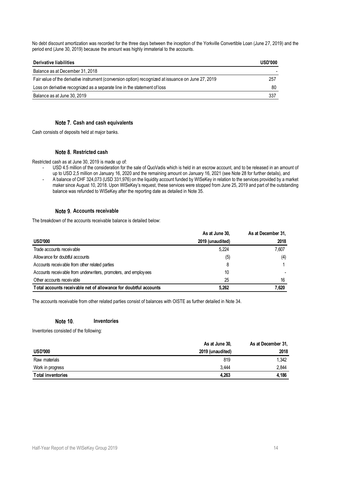No debt discount amortization was recorded for the three days between the inception of the Yorkville Convertible Loan (June 27, 2019) and the period end (June 30, 2019) because the amount was highly immaterial to the accounts.

| Derivative liabilities                                                                              | <b>USD'000</b> |
|-----------------------------------------------------------------------------------------------------|----------------|
| Balance as at December 31, 2018                                                                     |                |
| Fair value of the derivative instrument (conversion option) recognized at issuance on June 27, 2019 | 257            |
| Loss on derivative recognized as a separate line in the statement of loss                           | 80             |
| Balance as at June 30, 2019                                                                         | 337            |

### **Cash and cash equivalents**

<span id="page-13-0"></span>Cash consists of deposits held at major banks.

### **Restricted cash**

Restricted cash as at June 30, 2019 is made up of:

USD 4.5 million of the consideration for the sale of QuoVadis which is held in an escrow account, and to be released in an amount of up to USD 2,5 million on January 16, 2020 and the remaining amount on January 16, 2021 (see [Note 28](#page-27-0) for further details), and - A balance of CHF 324,073 (USD 331,976) on the liquidity account funded by WISeKey in relation to the services provided by a market maker since August 10, 2018. Upon WISeKey's request, these services were stopped from June 25, 2019 and part of the outstanding

### **Accounts receivable**

The breakdown of the accounts receivable balance is detailed below:

|                                                                  | As at June 30,   | As at December 31, |
|------------------------------------------------------------------|------------------|--------------------|
| <b>USD'000</b>                                                   | 2019 (unaudited) | 2018               |
| Trade accounts receivable                                        | 5.224            | 7.607              |
| Allowance for doubtful accounts                                  | (5)              | (4)                |
| Accounts receivable from other related parties                   |                  |                    |
| Accounts receivable from underwriters, promoters, and employees  | 10               |                    |
| Other accounts receivable                                        | 25               | 16                 |
| Total accounts receivable net of allowance for doubtful accounts | 5.262            | 7.620              |

The accounts receivable from other related parties consist of balances with OISTE as further detailed in Note 34.

balance was refunded to WISeKey after the reporting date as detailed i[n Note 35.](#page-34-0)

#### Note 10. **Inventories**

Inventories consisted of the following:

|                          | As at June 30,   | As at December 31, |
|--------------------------|------------------|--------------------|
| <b>USD'000</b>           | 2019 (unaudited) | 2018               |
| Raw materials            | 819              | 1.342              |
| Work in progress         | 3.444            | 2.844              |
| <b>Total inventories</b> | 4.263            | 4.186              |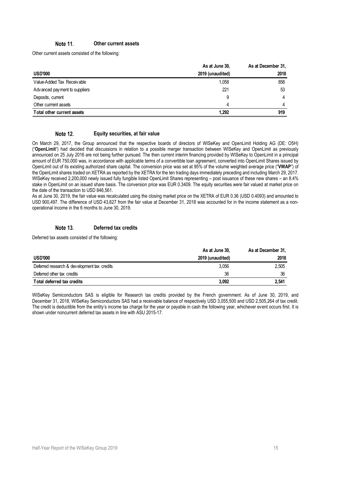#### Note 11. **Other current assets**

Other current assets consisted of the following:

|                                | As at June 30,   | As at December 31. |
|--------------------------------|------------------|--------------------|
| <b>USD'000</b>                 | 2019 (unaudited) | 2018               |
| Value-Added Tax Receivable     | 1,058            | 858                |
| Adv anced payment to suppliers | 221              | 53                 |
| Deposits, current              | 9                | 4                  |
| Other currrent assets          |                  | 4                  |
| Total other current assets     | 1.292            | 919                |

#### Note 12. **Equity securities, at fair value**

On March 29, 2017, the Group announced that the respective boards of directors of WISeKey and OpenLimit Holding AG (DE: O5H) ("**OpenLimit**") had decided that discussions in relation to a possible merger transaction between WISeKey and OpenLimit as previously announced on 25 July 2016 are not being further pursued. The then current interim financing provided by WISeKey to OpenLimit in a principal amount of EUR 750,000 was, in accordance with applicable terms of a convertible loan agreement, converted into OpenLimit Shares issued by OpenLimit out of its existing authorized share capital. The conversion price was set at 95% of the volume weighted average price ("**VWAP**") of the OpenLimit shares traded on XETRA as reported by the XETRA for the ten trading days immediately preceding and including March 29, 2017. WISeKey received 2,200,000 newly issued fully fungible listed OpenLimit Shares representing – post issuance of these new shares – an 8.4% stake in OpenLimit on an issued share basis. The conversion price was EUR 0.3409. The equity securities were fair valued at market price on the date of the transaction to USD 846,561.

As at June 30, 2019, the fair value was recalculated using the closing market price on the XETRA of EUR 0.36 (USD 0.4093) and amounted to USD 900,497. The difference of USD 43,627 from the fair value at December 31, 2018 was accounted for in the income statement as a nonoperational income in the 6 months to June 30, 2019.

#### **Deferred tax credits** Note 13.

Deferred tax assets consisted of the following:

|                                             | As at June 30,   | As at December 31, |
|---------------------------------------------|------------------|--------------------|
| <b>USD'000</b>                              | 2019 (unaudited) | 2018               |
| Deferred research & development tax credits | 3.056            | 2.505              |
| Deferred other tax credits                  | 36               | 36                 |
| Total deferred tax credits                  | 3.092            | 2,541              |

WISeKey Semiconductors SAS is eligible for Research tax credits provided by the French government. As of June 30, 2019, and December 31, 2018, WISeKey Semiconductors SAS had a receivable balance of respectively USD 3,055,500 and USD 2,505,264 of tax credit. The credit is deductible from the entity's income tax charge for the year or payable in cash the following year, whichever event occurs first. It is shown under noncurrent deferred tax assets in line with ASU 2015-17.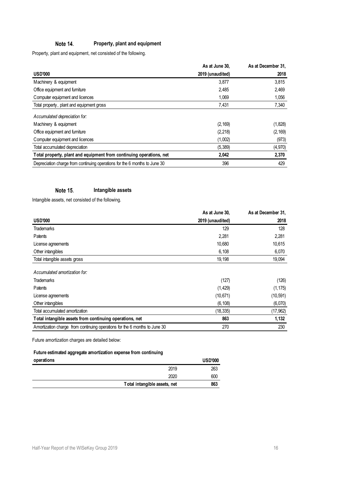#### Note 14. **Property, plant and equipment**

Property, plant and equipment, net consisted of the following.

|                                                                            | As at June 30,   | As at December 31. |
|----------------------------------------------------------------------------|------------------|--------------------|
| <b>USD'000</b>                                                             | 2019 (unaudited) | 2018               |
| Machinery & equipment                                                      | 3,877            | 3,815              |
| Office equipment and furniture                                             | 2,485            | 2,469              |
| Computer equipment and licences                                            | 1.069            | 1,056              |
| Total property, plant and equipment gross                                  | 7,431            | 7,340              |
| Accumulated depreciation for:                                              |                  |                    |
| Machinery & equipment                                                      | (2, 169)         | (1,828)            |
| Office equipment and furniture                                             | (2, 218)         | (2, 169)           |
| Computer equipment and licences                                            | (1,002)          | (973)              |
| Total accumulated depreciation                                             | (5, 389)         | (4,970)            |
| Total property, plant and equipment from continuing operations, net        | 2,042            | 2,370              |
| Depreciation charge from continuing operations for the 6 months to June 30 | 396              | 429                |

#### Note 15. **Intangible assets**

Intangible assets, net consisted of the following.

|                                                                            | As at June 30,   | As at December 31. |
|----------------------------------------------------------------------------|------------------|--------------------|
| <b>USD'000</b>                                                             | 2019 (unaudited) | 2018               |
| <b>Trademarks</b>                                                          | 129              | 128                |
| Patents                                                                    | 2,281            | 2,281              |
| License agreements                                                         | 10,680           | 10,615             |
| Other intangibles                                                          | 6,108            | 6,070              |
| Total intangible assets gross                                              | 19,198           | 19,094             |
| Accumulated amortization for:                                              |                  |                    |
| <b>Trademarks</b>                                                          | (127)            | (126)              |
| Patents                                                                    | (1, 429)         | (1, 175)           |
| License agreements                                                         | (10, 671)        | (10, 591)          |
| Other intangibles                                                          | (6, 108)         | (6,070)            |
| Total accumulated amortization                                             | (18,335)         | (17, 962)          |
| Total intangible assets from continuing operations, net                    | 863              | 1,132              |
| Amortization charge from continuing operations for the 6 months to June 30 | 270              | 230                |

Future amortization charges are detailed below:

### **Future estimated aggregate amortization expense from continuing**

| operations |                              | <b>USD'000</b> |
|------------|------------------------------|----------------|
|            | 2019                         | 263            |
|            | 2020                         | 600            |
|            | Total intangible assets, net | 863            |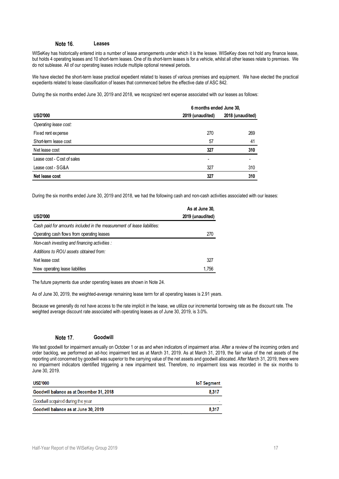#### Note 16. **Leases**

WISeKey has historically entered into a number of lease arrangements under which it is the lessee. WISeKey does not hold any finance lease, but holds 4 operating leases and 10 short-term leases. One of its short-term leases is for a vehicle, whilst all other leases relate to premises. We do not sublease. All of our operating leases include multiple optional renewal periods.

We have elected the short-term lease practical expedient related to leases of various premises and equipment. We have elected the practical expedients related to lease classification of leases that commenced before the effective date of ASC 842.

During the six months ended June 30, 2019 and 2018, we recognized rent expense associated with our leases as follows:

|                            | 6 months ended June 30, |                  |
|----------------------------|-------------------------|------------------|
| <b>USD'000</b>             | 2019 (unaudited)        | 2018 (unaudited) |
| Operating lease cost:      |                         |                  |
| Fixed rent expense         | 270                     | 269              |
| Short-term lease cost      | 57                      | 41               |
| Net lease cost             | 327                     | 310              |
| Lease cost - Cost of sales | ۰                       | ۰                |
| Lease cost - SG&A          | 327                     | 310              |
| Net lease cost             | 327                     | 310              |

During the six months ended June 30, 2019 and 2018, we had the following cash and non-cash activities associated with our leases:

|                                                                         | As at June 30,   |
|-------------------------------------------------------------------------|------------------|
| <b>USD'000</b>                                                          | 2019 (unaudited) |
| Cash paid for amounts included in the measurement of lease liabilities: |                  |
| Operating cash flows from operating leases                              | 270              |
| Non-cash investing and financing activities :                           |                  |
| Additions to ROU assets obtained from:                                  |                  |
| Net lease cost                                                          | 327              |
| New operating lease liabilities                                         | 1.756            |

The future payments due under operating leases are shown in Note 24.

As of June 30, 2019, the weighted-average remaining lease term for all operating leases is 2.91 years.

Because we generally do not have access to the rate implicit in the lease, we utilize our incremental borrowing rate as the discount rate. The weighted average discount rate associated with operating leases as of June 30, 2019, is 3.0%.

#### Note 17. **Goodwill**

We test goodwill for impairment annually on October 1 or as and when indicators of impairment arise. After a review of the incoming orders and order backlog, we performed an ad-hoc impairment test as at March 31, 2019. As at March 31, 2019, the fair value of the net assets of the reporting unit concerned by goodwill was superior to the carrying value of the net assets and goodwill allocated. After March 31, 2019, there were no impairment indicators identified triggering a new impairment test. Therefore, no impairment loss was recorded in the six months to June 30, 2019.

| <b>USD'000</b>                                  | <b>IoT</b> Segment |
|-------------------------------------------------|--------------------|
| <b>Goodwill balance as at December 31, 2018</b> | 8.317              |
| Goodwill acquired during the year               |                    |
| Goodwill balance as at June 30, 2019            | 8.317              |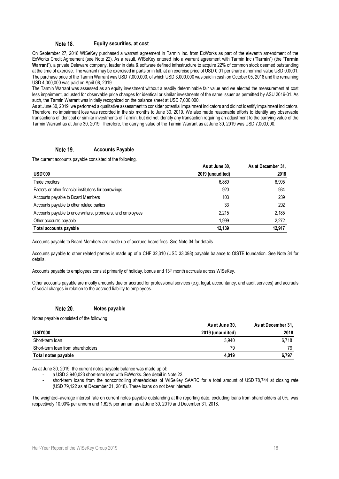#### Note 18. **Equity securities, at cost**

On September 27, 2018 WISeKey purchased a warrant agreement in Tarmin Inc. from ExWorks as part of the eleventh amendment of the ExWorks Credit Agreement (see [Note 22\)](#page-18-0). As a result, WISeKey entered into a warrant agreement with Tarmin Inc ("**Tarmin**") (the "**Tarmin Warrant**"), a private Delaware company, leader in data & software defined infrastructure to acquire 22% of common stock deemed outstanding at the time of exercise. The warrant may be exercised in parts or in full, at an exercise price of USD 0.01 per share at nominal value USD 0.0001. The purchase price of the Tarmin Warrant was USD 7,000,000, of which USD 3,000,000 was paid in cash on October 05, 2018 and the remaining USD 4,000,000 was paid on April 08, 2019.

The Tarmin Warrant was assessed as an equity investment without a readily determinable fair value and we elected the measurement at cost less impairment, adjusted for observable price changes for identical or similar investments of the same issuer as permitted by ASU 2016-01. As such, the Tarmin Warrant was initially recognized on the balance sheet at USD 7,000,000.

As at June 30, 2019, we performed a qualitative assessment to consider potential impairment indicators and did not identify impairment indicators. Therefore, no impairment loss was recorded in the six months to June 30, 2019. We also made reasonable efforts to identify any observable transactions of identical or similar investments of Tarmin, but did not identify any transaction requiring an adjustment to the carrying value of the Tarmin Warrant as at June 30, 2019. Therefore, the carrying value of the Tarmin Warrant as at June 30, 2019 was USD 7,000,000.

#### Note 19. **Accounts Payable**

The current accounts payable consisted of the following.

|                                                             | As at June 30,   | As at December 31, |
|-------------------------------------------------------------|------------------|--------------------|
| <b>USD'000</b>                                              | 2019 (unaudited) | 2018               |
| Trade creditors                                             | 6.869            | 6.995              |
| Factors or other financial institutions for borrowings      | 920              | 934                |
| Accounts pay able to Board Members                          | 103              | 239                |
| Accounts pay able to other related parties                  | 33               | 292                |
| Accounts pay able to underwriters, promoters, and employees | 2.215            | 2.185              |
| Other accounts pay able                                     | 1,999            | 2,272              |
| Total accounts payable                                      | 12.139           | 12.917             |

Accounts payable to Board Members are made up of accrued board fees. See Note 34 for details.

Accounts payable to other related parties is made up of a CHF 32,310 (USD 33,098) payable balance to OISTE foundation. See Note 34 for details.

Accounts payable to employees consist primarily of holiday, bonus and 13th month accruals across WISeKey.

Other accounts payable are mostly amounts due or accrued for professional services (e.g. legal, accountancy, and audit services) and accruals of social charges in relation to the accrued liability to employees.

#### Note 20. **Notes payable**

Notes payable consisted of the following

|                                   | As at June 30,   | As at December 31, |  |
|-----------------------------------|------------------|--------------------|--|
| <b>USD'000</b>                    | 2019 (unaudited) | 2018               |  |
| Short-term loan                   | 3.940            | 6.718              |  |
| Short-term loan from shareholders | 79               | 79                 |  |
| Total notes payable               | 4.019            | 6,797              |  |

As at June 30, 2019, the current notes payable balance was made up of:

- a USD 3,940,023 short-term loan with ExWorks. See detail i[n Note 22.](#page-18-0)
- short-term loans from the noncontrolling shareholders of WISeKey SAARC for a total amount of USD 78,744 at closing rate (USD 79,122 as at December 31, 2018). These loans do not bear interests.

The weighted–average interest rate on current notes payable outstanding at the reporting date, excluding loans from shareholders at 0%, was respectively 10.00% per annum and 1.62% per annum as at June 30, 2019 and December 31, 2018.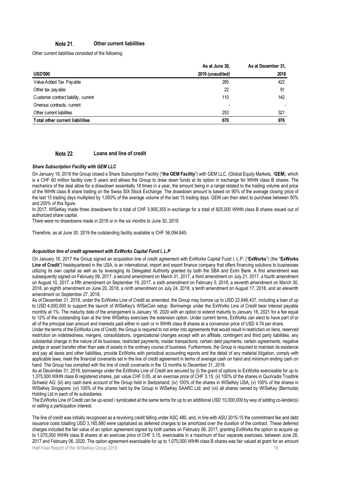#### Note 21. **Other current liabilities**

Other current liabilities consisted of the following:

|                                                                                  |                                                                                                                                                                                                                                                                                                                                                                                                                                                                                                                                                                                                                                                                                                                                                                                                                                                                                                                                                                                                                                                                                                                                                                                                                                                                                                                                                                                                                                                                                                                                                                                                                                                                                                                                                                                                                                                                                                                                                                                                                                                                                                                                                                                                                                                                                                                                                                                                                                                                                                                   | As at June 30,   | As at December 31, |
|----------------------------------------------------------------------------------|-------------------------------------------------------------------------------------------------------------------------------------------------------------------------------------------------------------------------------------------------------------------------------------------------------------------------------------------------------------------------------------------------------------------------------------------------------------------------------------------------------------------------------------------------------------------------------------------------------------------------------------------------------------------------------------------------------------------------------------------------------------------------------------------------------------------------------------------------------------------------------------------------------------------------------------------------------------------------------------------------------------------------------------------------------------------------------------------------------------------------------------------------------------------------------------------------------------------------------------------------------------------------------------------------------------------------------------------------------------------------------------------------------------------------------------------------------------------------------------------------------------------------------------------------------------------------------------------------------------------------------------------------------------------------------------------------------------------------------------------------------------------------------------------------------------------------------------------------------------------------------------------------------------------------------------------------------------------------------------------------------------------------------------------------------------------------------------------------------------------------------------------------------------------------------------------------------------------------------------------------------------------------------------------------------------------------------------------------------------------------------------------------------------------------------------------------------------------------------------------------------------------|------------------|--------------------|
| <b>USD'000</b>                                                                   |                                                                                                                                                                                                                                                                                                                                                                                                                                                                                                                                                                                                                                                                                                                                                                                                                                                                                                                                                                                                                                                                                                                                                                                                                                                                                                                                                                                                                                                                                                                                                                                                                                                                                                                                                                                                                                                                                                                                                                                                                                                                                                                                                                                                                                                                                                                                                                                                                                                                                                                   | 2019 (unaudited) | 2018               |
| Value-Added Tax Payable                                                          |                                                                                                                                                                                                                                                                                                                                                                                                                                                                                                                                                                                                                                                                                                                                                                                                                                                                                                                                                                                                                                                                                                                                                                                                                                                                                                                                                                                                                                                                                                                                                                                                                                                                                                                                                                                                                                                                                                                                                                                                                                                                                                                                                                                                                                                                                                                                                                                                                                                                                                                   | 285              | 422                |
| Other tax pay able                                                               |                                                                                                                                                                                                                                                                                                                                                                                                                                                                                                                                                                                                                                                                                                                                                                                                                                                                                                                                                                                                                                                                                                                                                                                                                                                                                                                                                                                                                                                                                                                                                                                                                                                                                                                                                                                                                                                                                                                                                                                                                                                                                                                                                                                                                                                                                                                                                                                                                                                                                                                   | 22               | 91                 |
| Customer contract liability, current                                             |                                                                                                                                                                                                                                                                                                                                                                                                                                                                                                                                                                                                                                                                                                                                                                                                                                                                                                                                                                                                                                                                                                                                                                                                                                                                                                                                                                                                                                                                                                                                                                                                                                                                                                                                                                                                                                                                                                                                                                                                                                                                                                                                                                                                                                                                                                                                                                                                                                                                                                                   | 110              | 142                |
| Onerous contracts, current                                                       |                                                                                                                                                                                                                                                                                                                                                                                                                                                                                                                                                                                                                                                                                                                                                                                                                                                                                                                                                                                                                                                                                                                                                                                                                                                                                                                                                                                                                                                                                                                                                                                                                                                                                                                                                                                                                                                                                                                                                                                                                                                                                                                                                                                                                                                                                                                                                                                                                                                                                                                   |                  |                    |
| Other current liabilities                                                        |                                                                                                                                                                                                                                                                                                                                                                                                                                                                                                                                                                                                                                                                                                                                                                                                                                                                                                                                                                                                                                                                                                                                                                                                                                                                                                                                                                                                                                                                                                                                                                                                                                                                                                                                                                                                                                                                                                                                                                                                                                                                                                                                                                                                                                                                                                                                                                                                                                                                                                                   | 253              | 321                |
| Total other current liabilities                                                  |                                                                                                                                                                                                                                                                                                                                                                                                                                                                                                                                                                                                                                                                                                                                                                                                                                                                                                                                                                                                                                                                                                                                                                                                                                                                                                                                                                                                                                                                                                                                                                                                                                                                                                                                                                                                                                                                                                                                                                                                                                                                                                                                                                                                                                                                                                                                                                                                                                                                                                                   | 670              | 976                |
| Note 22.                                                                         | Loans and line of credit                                                                                                                                                                                                                                                                                                                                                                                                                                                                                                                                                                                                                                                                                                                                                                                                                                                                                                                                                                                                                                                                                                                                                                                                                                                                                                                                                                                                                                                                                                                                                                                                                                                                                                                                                                                                                                                                                                                                                                                                                                                                                                                                                                                                                                                                                                                                                                                                                                                                                          |                  |                    |
|                                                                                  |                                                                                                                                                                                                                                                                                                                                                                                                                                                                                                                                                                                                                                                                                                                                                                                                                                                                                                                                                                                                                                                                                                                                                                                                                                                                                                                                                                                                                                                                                                                                                                                                                                                                                                                                                                                                                                                                                                                                                                                                                                                                                                                                                                                                                                                                                                                                                                                                                                                                                                                   |                  |                    |
| <b>Share Subscription Facility with GEM LLC</b><br>and 200% of this figure.      | On January 19, 2016 the Group closed a Share Subscription Facility ("the GEM Facility") with GEM LLC, (Global Equity Markets, "GEM), which<br>is a CHF 60 million facility over 5 years and allows the Group to draw down funds at its option in exchange for WIHN class B shares. The<br>mechanics of the deal allow for a drawdown essentially 18 times in a year, the amount being in a range related to the trading volume and price<br>of the WIHN class B share trading on the Swiss SIX Stock Exchange. The drawdown amount is based on 90% of the average closing price of<br>the last 15 trading days multiplied by 1,000% of the average volume of the last 15 trading days. GEM can then elect to purchase between 50%<br>In 2017, WISeKey made three drawdowns for a total of CHF 3,905,355 in exchange for a total of 825,000 WIHN class B shares issued out of                                                                                                                                                                                                                                                                                                                                                                                                                                                                                                                                                                                                                                                                                                                                                                                                                                                                                                                                                                                                                                                                                                                                                                                                                                                                                                                                                                                                                                                                                                                                                                                                                                      |                  |                    |
| authorized share capital.                                                        | There were no drawdowns made in 2018 or in the six months to June 30, 2019.                                                                                                                                                                                                                                                                                                                                                                                                                                                                                                                                                                                                                                                                                                                                                                                                                                                                                                                                                                                                                                                                                                                                                                                                                                                                                                                                                                                                                                                                                                                                                                                                                                                                                                                                                                                                                                                                                                                                                                                                                                                                                                                                                                                                                                                                                                                                                                                                                                       |                  |                    |
|                                                                                  | Therefore, as at June 30, 2019 the outstanding facility available is CHF 56,094,645.                                                                                                                                                                                                                                                                                                                                                                                                                                                                                                                                                                                                                                                                                                                                                                                                                                                                                                                                                                                                                                                                                                                                                                                                                                                                                                                                                                                                                                                                                                                                                                                                                                                                                                                                                                                                                                                                                                                                                                                                                                                                                                                                                                                                                                                                                                                                                                                                                              |                  |                    |
| amendment on September 27, 2018.                                                 | Acquisition line of credit agreement with ExWorks Capital Fund I, L.P<br>On January 16, 2017 the Group signed an acquisition line of credit agreement with ExWorks Capital Fund I, L.P. ("ExWorks") (the "ExWorks<br>Line of Credit") headquartered in the USA, is an international, import and export finance company that offers financing solutions to businesses<br>utilizing its own capital as well as by leveraging its Delegated Authority granted by both the SBA and Exlm Bank. A first amendment was<br>subsequently signed on February 06, 2017, a second amendment on March 31, 2017, a third amendment on July 21, 2017, a fourth amendment<br>on August 10, 2017, a fifth amendment on September 19, 2017, a sixth amendment on February 5, 2018, a seventh amendment on March 30,<br>2018, an eighth amendment on June 20, 2018, a ninth amendment on July 24, 2018, a tenth amendment on August 17, 2018, and an eleventh                                                                                                                                                                                                                                                                                                                                                                                                                                                                                                                                                                                                                                                                                                                                                                                                                                                                                                                                                                                                                                                                                                                                                                                                                                                                                                                                                                                                                                                                                                                                                                        |                  |                    |
| Holding Ltd in each of its subsidiaries.<br>or selling a participation interest. | As of December 31, 2018, under the ExWorks Line of Credit as amended, the Group may borrow up to USD 22,646,437, including a loan of up<br>to USD 4,000,000 to support the launch of WISeKey's WISeCoin setup. Borrowings under the ExWorks Line of Credit bear interest payable<br>monthly at 1%. The maturity date of the arrangement is January 16, 2020 with an option to extend maturity to January 16, 2021 for a fee equal<br>to 12% of the outstanding loan at the time WISeKey exercises the extension option. Under current terms, ExWorks can elect to have part of or<br>all of the principal loan amount and interests paid either in cash or in WIHN class B shares at a conversion price of USD 4.74 per share.<br>Under the terms of the ExWorks Line of Credit, the Group is required to not enter into agreements that would result in restriction on liens, reserved<br>restriction on indebtedness, mergers, consolidations, organizational changes except with an affiliate, contingent and third party liabilities, any<br>substantial change in the nature of its business, restricted payments, insider transactions, certain debt payments, certain agreements, negative<br>pledge or asset transfer other than sale of assets in the ordinary course of business. Furthermore, the Group is required to maintain its existence<br>and pay all taxes and other liabilities, provide ExWorks with periodical accounting reports and the detail of any material litigation, comply with<br>applicable laws, meet the financial covenants set in the line of credit agreement in terms of average cash on hand and minimum ending cash on<br>hand. The Group has complied with the line of credit covenants in the 12 months to December 31, 2018.<br>As at December 31, 2018, borrowings under the ExWorks Line of Credit are secured by (i) the grant of options to ExWorks exercisable for up to<br>1,075,000 WIHN class B registered shares, par value CHF 0.05, at an exercise price of CHF 3.15; (ii) 100% of the shares in QuoVadis Trustlink<br>Schweiz AG; (iii) any cash bank account of the Group held in Switzerland; (iv) 100% of the shares in WISeKey USA; (v) 100% of the shares in<br>WISeKey Singapore; (vi) 100% of the shares held by the Group in WISeKey SAARC Ltd; and (vii) all shares owned by WISeKey (Bermuda)<br>The ExWorks Line of Credit can be up-sized / syndicated at the same terms for up to an additional USD 10,000,000 by way of adding co-lender(s) |                  |                    |
|                                                                                  | The line of credit was initially recognized as a revolving credit falling under ASC 480, and, in line with ASU 2015-15 the commitment fee and debt<br>issuance costs totalling USD 3,165,880 were capitalized as deferred charges to be amortized over the duration of the contract. These deferred<br>charges included the fair value of an option agreement signed by both parties on February 06, 2017, granting ExWorks the option to acquire up<br>to 1,075,000 WIHN class B shares at an exercise price of CHF 3.15, exercisable in a maximum of four separate exercises, between June 28,<br>2017 and February 06, 2020. The option agreement exercisable for up to 1,075,000 WIHN class B shares was fair valued at grant for an amount                                                                                                                                                                                                                                                                                                                                                                                                                                                                                                                                                                                                                                                                                                                                                                                                                                                                                                                                                                                                                                                                                                                                                                                                                                                                                                                                                                                                                                                                                                                                                                                                                                                                                                                                                                   |                  |                    |

### **Loans and line of credit**

#### <span id="page-18-0"></span>*Share Subscription Facility with GEM LLC*

#### *Acquisition line of credit agreement with ExWorks Capital Fund I, L.P*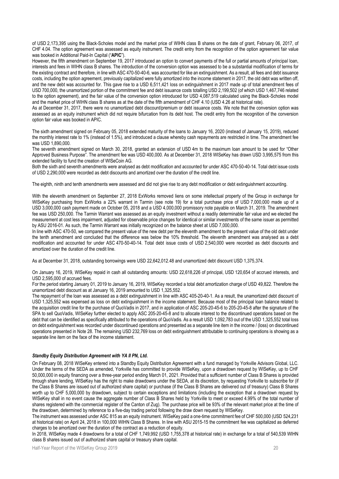of USD 2,173,395 using the Black-Scholes model and the market price of WIHN class B shares on the date of grant, February 06, 2017, of CHF 4.04. The option agreement was assessed as equity instrument. The credit entry from the recognition of the option agreement fair value was booked in Additional Paid-In Capital ("**APIC**").

However, the fifth amendment on September 19, 2017 introduced an option to convert payments of the full or partial amounts of principal loan, interests and fees in WIHN class B shares. The introduction of the conversion option was assessed to be a substantial modification of terms for the existing contract and therefore, in line with ASC 470-50-40-6, was accounted for like an extinguishment. As a result, all fees and debt issuance costs, including the option agreement, previously capitalized were fully amortized into the income statement in 2017, the old debt was written off, and the new debt was accounted for. This gave rise to a USD 6,511,421 loss on extinguishment in 2017 made up of total amendment fees of USD 700,000, the unamortized portion of the commitment fee and debt issuance costs totalling USD 2,199,502 (of which USD 1,467,746 related to the option agreement), and the fair value of the conversion option introduced for USD 4,087,519 calculated using the Black-Scholes model and the market price of WIHN class B shares as at the date of the fifth amendment of CHF 4.10 (USD 4.26 at historical rate).

As at December 31, 2017, there were no unamortized debt discount/premium or debt issuance costs. We note that the conversion option was assessed as an equity instrument which did not require bifurcation from its debt host. The credit entry from the recognition of the conversion option fair value was booked in APIC.

The sixth amendment signed on February 05, 2018 extended maturity of the loans to January 16, 2020 (instead of January 15, 2019), reduced the monthly interest rate to 1% (instead of 1.5%), and introduced a clause whereby cash repayments are restricted in time. The amendment fee was USD 1,890,000.

The seventh amendment signed on March 30, 2018, granted an extension of USD 4m to the maximum loan amount to be used for "Other Approved Business Purpose". The amendment fee was USD 400,000. As at December 31, 2018 WISeKey has drawn USD 3,995,575 from this extended facility to fund the creation of WISeCoin AG.

Both the sixth and seventh amendments were analysed as debt modification and accounted for under ASC 470-50-40-14. Total debt issue costs of USD 2,290,000 were recorded as debt discounts and amortized over the duration of the credit line.

The eighth, ninth and tenth amendments were assessed and did not give rise to any debt modification or debt extinguishment accounting.

With the eleventh amendment on September 27, 2018 ExWorks removed liens on some intellectual property of the Group in exchange for WISeKey purchasing from ExWorks a 22% warrant in Tarmin (see note 19) for a total purchase price of USD 7,000,000 made up of a USD 3,000,000 cash payment made on October 05, 2018 and a USD 4,000,000 promissory note payable on March 31, 2019. The amendment fee was USD 250,000. The Tarmin Warrant was assessed as an equity investment without a readily determinable fair value and we elected the measurement at cost less impairment, adjusted for observable price changes for identical or similar investments of the same issuer as permitted by ASU 2016-01. As such, the Tarmin Warrant was initially recognized on the balance sheet at USD 7,000,000.

In line with ASC 470-50, we compared the present value of the new debt per the eleventh amendment to the present value of the old debt under the tenth amendment and concluded that the difference was below the 10% threshold. The eleventh amendment was analysed as a debt modification and accounted for under ASC 470-50-40-14. Total debt issue costs of USD 2,540,000 were recorded as debt discounts and amortized over the duration of the credit line.

As at December 31, 2018, outstanding borrowings were USD 22,642,012.48 and unamortized debt discount USD 1,375,374.

On January 16, 2019, WISeKey repaid in cash all outstanding amounts: USD 22,618,226 of principal, USD 120,654 of accrued interests, and USD 2,595,000 of accrued fees.

For the period starting January 01, 2019 to January 16, 2019, WISeKey recorded a total debt amortization charge of USD 49,822. Therefore the unamortized debt discount as at January 16, 2019 amounted to USD 1,325,552.

The repayment of the loan was assessed as a debt extinguishment in line with ASC 405-20-40-1. As a result, the unamortized debt discount of USD 1,325,552 was expensed as loss on debt extinguishment in the income statement. Because most of the principal loan balance related to the acquisition credit line for the purchase of QuoVadis in 2017, and in application of ASC 205-20-45-6 to 205-20-45-8 after the signature of the SPA to sell QuoVadis, WISeKey further elected to apply ASC 205-20-45-8 and to allocate interest to the discontinued operations based on the debt that can be identified as specifically attributed to the operations of QuoVadis. As a result USD 1,092,783 out of the USD 1,325,552 total loss on debt extinguishment was recorded under discontinued operations and presented as a separate line item in the income / (loss) on discontinued operations presented in [Note 28.](#page-27-0) The remaining USD 232,769 loss on debt extinguishment attributable to continuing operations is showing as a separate line item on the face of the income statement.

#### *Standby Equity Distribution Agreement with YA II PN, Ltd.*

On February 08, 2018 WISeKey entered into a Standby Equity Distribution Agreement with a fund managed by Yorkville Advisors Global, LLC. Under the terms of the SEDA as amended, Yorkville has committed to provide WISeKey, upon a drawdown request by WISeKey, up to CHF 50,000,000 in equity financing over a three-year period ending March 01, 2021. Provided that a sufficient number of Class B Shares is provided through share lending, WISeKey has the right to make drawdowns under the SEDA, at its discretion, by requesting Yorkville to subscribe for (if the Class B Shares are issued out of authorized share capital) or purchase (if the Class B Shares are delivered out of treasury) Class B Shares worth up to CHF 5,000,000 by drawdown, subject to certain exceptions and limitations (including the exception that a drawdown request by WISeKey shall in no event cause the aggregate number of Class B Shares held by Yorkville to meet or exceed 4.99% of the total number of shares registered with the commercial register of the Canton of Zug). The purchase price will be 93% of the relevant market price at the time of the drawdown, determined by reference to a five-day trading period following the draw down request by WISeKey.

The instrument was assessed under ASC 815 as an equity instrument. WISeKey paid a one-time commitment fee of CHF 500,000 (USD 524,231 at historical rate) on April 24, 2018 in 100,000 WIHN Class B Shares. In line with ASU 2015-15 the commitment fee was capitalized as deferred charges to be amortized over the duration of the contract as a reduction of equity.

In 2018, WISeKey made 4 drawdowns for a total of CHF 1,749,992 (USD 1,755,378 at historical rate) in exchange for a total of 540,539 WIHN class B shares issued out of authorized share capital or treasury share capital.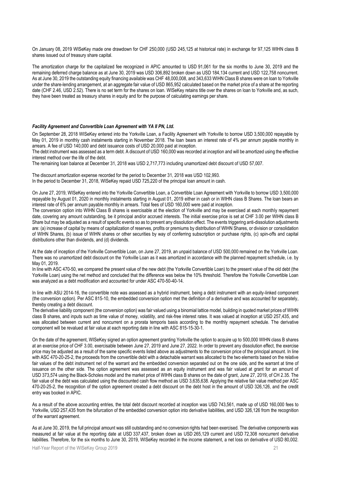On January 08, 2019 WISeKey made one drawdown for CHF 250,000 (USD 245,125 at historical rate) in exchange for 97,125 WIHN class B shares issued out of treasury share capital.

The amortization charge for the capitalized fee recognized in APIC amounted to USD 91,061 for the six months to June 30, 2019 and the remaining deferred charge balance as at June 30, 2019 was USD 306,892 broken down as USD 184,134 current and USD 122,758 noncurrent. As at June 30, 2019 the outstanding equity financing available was CHF 48,000,008, and 343,633 WIHN Class B shares were on loan to Yorkville under the share-lending arrangement, at an aggregate fair value of USD 865,952 calculated based on the market price of a share at the reporting date (CHF 2.46, USD 2.52). There is no set term for the shares on loan. WISeKey retains title over the shares on loan to Yorkville and, as such, they have been treated as treasury shares in equity and for the purpose of calculating earnings per share.

#### *Facility Agreement and Convertible Loan Agreement with YA II PN, Ltd.*

On September 28, 2018 WISeKey entered into the Yorkville Loan, a Facility Agreement with Yorkville to borrow USD 3,500,000 repayable by May 01, 2019 in monthly cash instalments starting in November 2018. The loan bears an interest rate of 4% per annum payable monthly in arrears. A fee of USD 140,000 and debt issuance costs of USD 20,000 paid at inception.

The debt instrument was assessed as a term debt. A discount of USD 160,000 was recorded at inception and will be amortized using the effective interest method over the life of the debt.

The remaining loan balance at December 31, 2018 was USD 2,717,773 including unamortized debt discount of USD 57,007.

The discount amortization expense recorded for the period to December 31, 2018 was USD 102,993. In the period to December 31, 2018, WISeKey repaid USD 725,220 of the principal loan amount in cash.

On June 27, 2019, WISeKey entered into the Yorkville Convertible Loan, a Convertible Loan Agreement with Yorkville to borrow USD 3,500,000 repayable by August 01, 2020 in monthly instalments starting in August 01, 2019 either in cash or in WIHN class B Shares. The loan bears an interest rate of 6% per annum payable monthly in arrears. Total fees of USD 160,000 were paid at inception.

The conversion option into WIHN Class B shares is exercisable at the election of Yorkville and may be exercised at each monthly repayment date, covering any amount outstanding, be it principal and/or accrued interests. The initial exercise price is set at CHF 3.00 per WIHN class B Share but may be adjusted as a result of specific events so as to prevent any dissolution effect. The events triggering anti-dissolution adjustments are: (a) increase of capital by means of capitalization of reserves, profits or premiums by distribution of WIHN Shares, or division or consolidation of WIHN Shares, (b) issue of WIHN shares or other securities by way of conferring subscription or purchase rights, (c) spin-offs and capital distributions other than dividends, and (d) dividends.

At the date of inception of the Yorkville Convertible Loan, on June 27, 2019, an unpaid balance of USD 500,000 remained on the Yorkville Loan. There was no unamortized debt discount on the Yorkville Loan as it was amortized in accordance with the planned repayment schedule, i.e. by May 01, 2019.

In line with ASC 470-50, we compared the present value of the new debt (the Yorkville Convertible Loan) to the present value of the old debt (the Yorkville Loan) using the net method and concluded that the difference was below the 10% threshold. Therefore the Yorkville Convertible Loan was analyzed as a debt modification and accounted for under ASC 470-50-40-14.

In line with ASU 2014-16, the convertible note was assessed as a hybrid instrument, being a debt instrument with an equity-linked component (the conversion option). Per ASC 815-10, the embedded conversion option met the definition of a derivative and was accounted for separately, thereby creating a debt discount.

The derivative liability component (the conversion option) was fair valued using a binomial lattice model, building in quoted market prices of WIHN class B shares, and inputs such as time value of money, volatility, and risk-free interest rates. It was valued at inception at USD 257,435, and was allocated between current and noncurrent on a prorata temporis basis according to the monthly repayment schedule. The derivative component will be revalued at fair value at each reporting date in line with ASC 815-15-30-1.

On the date of the agreement, WISeKey signed an option agreement granting Yorkville the option to acquire up to 500,000 WIHN class B shares at an exercise price of CHF 3.00, exercisable between June 27, 2019 and June 27, 2022. In order to prevent any dissolution effect, the exercise price may be adjusted as a result of the same specific events listed above as adjustments to the conversion price of the principal amount. In line with ASC 470-20-25-2, the proceeds from the convertible debt with a detachable warrant was allocated to the two elements based on the relative fair values of the debt instrument net of the warrant and the embedded conversion separated out on the one side, and the warrant at time of issuance on the other side. The option agreement was assessed as an equity instrument and was fair valued at grant for an amount of USD 373,574 using the Black-Scholes model and the market price of WIHN class B shares on the date of grant, June 27, 2019, of CH 2.35. The fair value of the debt was calculated using the discounted cash flow method as USD 3,635,638. Applying the relative fair value method per ASC 470-20-25-2, the recognition of the option agreement created a debt discount on the debt host in the amount of USD 326,126, and the credit entry was booked in APIC.

As a result of the above accounting entries, the total debt discount recorded at inception was USD 743,561, made up of USD 160,000 fees to Yorkville, USD 257,435 from the bifurcation of the embedded conversion option into derivative liabilities, and USD 326,126 from the recognition of the warrant agreement.

As at June 30, 2019, the full principal amount was still outstanding and no conversion rights had been exercised. The derivative components was measured at fair value at the reporting date at USD 337,437, broken down as USD 265,129 current and USD 72,308 noncurrent derivative liabilities. Therefore, for the six months to June 30, 2019, WISeKey recorded in the income statement, a net loss on derivative of USD 80,002.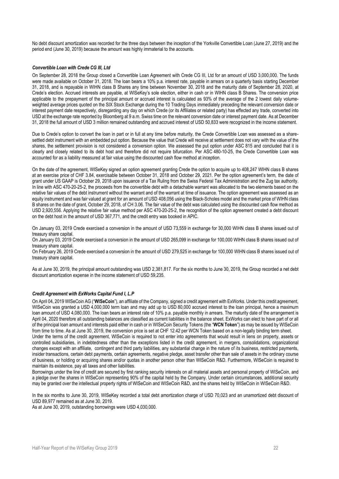No debt discount amortization was recorded for the three days between the inception of the Yorkville Convertible Loan (June 27, 2019) and the period end (June 30, 2019) because the amount was highly immaterial to the accounts.

### *Convertible Loan with Crede CG III, Ltd*

On September 28, 2018 the Group closed a Convertible Loan Agreement with Crede CG III, Ltd for an amount of USD 3,000,000. The funds were made available on October 31, 2018. The loan bears a 10% p.a. interest rate, payable in arrears on a quarterly basis starting December 31, 2018, and is repayable in WIHN class B Shares any time between November 30, 2018 and the maturity date of September 28, 2020, at Crede's election. Accrued interests are payable, at WISeKey's sole election, either in cash or in WIHN class B Shares. The conversion price applicable to the prepayment of the principal amount or accrued interest is calculated as 93% of the average of the 2 lowest daily volumeweighted average prices quoted on the SIX Stock Exchange during the 10 Trading Days immediately preceding the relevant conversion date or interest payment date respectively, disregarding any day on which Crede (or its Affiliates or related party) has effected any trade, converted into USD at the exchange rate reported by Bloomberg at 9 a.m. Swiss time on the relevant conversion date or interest payment date. As at December 31, 2018 the full amount of USD 3 million remained outstanding and accrued interest of USD 50,833 were recognized in the income statement.

Due to Crede's option to convert the loan in part or in full at any time before maturity, the Crede Convertible Loan was assessed as a sharesettled debt instrument with an embedded put option. Because the value that Crede will receive at settlement does not vary with the value of the shares, the settlement provision is not considered a conversion option. We assessed the put option under ASC 815 and concluded that it is clearly and closely related to its debt host and therefore did not require bifurcation. Per ASC 480-10-25, the Crede Convertible Loan was accounted for as a liability measured at fair value using the discounted cash flow method at inception.

On the date of the agreement, WISeKey signed an option agreement granting Crede the option to acquire up to 408,247 WIHN class B shares at an exercise price of CHF 3.84, exercisable between October 31, 2018 and October 29, 2021. Per the option agreement's term, the date of grant under US GAAP is October 29, 2018 upon issuance of a Tax Ruling from the Swiss Federal Tax Administration and the Zug tax authority. In line with ASC 470-20-25-2, the proceeds from the convertible debt with a detachable warrant was allocated to the two elements based on the relative fair values of the debt instrument without the warrant and of the warrant at time of issuance. The option agreement was assessed as an equity instrument and was fair valued at grant for an amount of USD 408,056 using the Black-Scholes model and the market price of WIHN class B shares on the date of grant, October 29, 2018, of CH 3.06. The fair value of the debt was calculated using the discounted cash flow method as USD 2,920,556. Applying the relative fair value method per ASC 470-20-25-2, the recognition of the option agreement created a debt discount on the debt host in the amount of USD 367,771, and the credit entry was booked in APIC.

On January 03, 2019 Crede exercised a conversion in the amount of USD 73,559 in exchange for 30,000 WIHN class B shares issued out of treasury share capital.

On January 03, 2019 Crede exercised a conversion in the amount of USD 265,099 in exchange for 100,000 WIHN class B shares issued out of treasury share capital.

On February 26, 2019 Crede exercised a conversion in the amount of USD 279,525 in exchange for 100,000 WIHN class B shares issued out of treasury share capital.

As at June 30, 2019, the principal amount outstanding was USD 2,381,817. For the six months to June 30, 2019, the Group recorded a net debt discount amortization expense in the income statement of USD 59,235.

#### *Credit Agreement with ExWorks Capital Fund I, L.P*

On April 04, 2019 WISeCoin AG ("**WISeCoin**"), an affiliate of the Company, signed a credit agreement with ExWorks. Under this credit agreement, WISeCoin was granted a USD 4,000,000 term loan and may add up to USD 80,000 accrued interest to the loan principal, hence a maximum loan amount of USD 4,080,000. The loan bears an interest rate of 10% p.a. payable monthly in arrears. The maturity date of the arrangement is April 04, 2020 therefore all outstanding balances are classified as current liabilities in the balance sheet. ExWorks can elect to have part of or all of the principal loan amount and interests paid either in cash or in WISeCoin Security Tokens (the "**WCN Token**") as may be issued by WISeCoin from time to time. As at June 30, 2019, the conversion price is set at CHF 12.42 per WCN Token based on a non-legally binding term sheet. Under the terms of the credit agreement, WISeCoin is required to not enter into agreements that would result in liens on property, assets or controlled subsidiaries, in indebtedness other than the exceptions listed in the credit agreement, in mergers, consolidations, organizational changes except with an affiliate, contingent and third party liabilities, any substantial change in the nature of its business, restricted payments, insider transactions, certain debt payments, certain agreements, negative pledge, asset transfer other than sale of assets in the ordinary course of business, or holding or acquiring shares and/or quotas in another person other than WISeCoin R&D. Furthermore, WISeCoin is required to maintain its existence, pay all taxes and other liabilities.

Borrowings under the line of credit are secured by first ranking security interests on all material assets and personal property of WISeCoin, and a pledge over the shares in WISeCoin representing 90% of the capital held by the Company. Under certain circumstances, additional security may be granted over the intellectual property rights of WISeCoin and WISeCoin R&D, and the shares held by WISeCoin in WISeCoin R&D.

In the six months to June 30, 2019, WISeKey recorded a total debt amortization charge of USD 70,023 and an unamortized debt discount of USD 89,977 remained as at June 30, 2019.

As at June 30, 2019, outstanding borrowings were USD 4,030,000.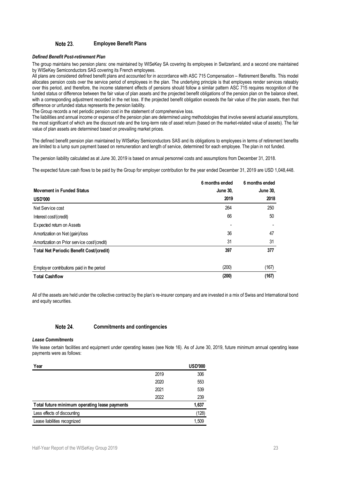#### Note 23. **Employee Benefit Plans**

### *Defined Benefit Post-retirement Plan*

The group maintains two pension plans: one maintained by WISeKey SA covering its employees in Switzerland, and a second one maintained by WISeKey Semiconductors SAS covering its French employees.

All plans are considered defined benefit plans and accounted for in accordance with ASC 715 Compensation – Retirement Benefits. This model allocates pension costs over the service period of employees in the plan. The underlying principle is that employees render services rateably over this period, and therefore, the income statement effects of pensions should follow a similar pattern ASC 715 requires recognition of the funded status or difference between the fair value of plan assets and the projected benefit obligations of the pension plan on the balance sheet, with a corresponding adjustment recorded in the net loss. If the projected benefit obligation exceeds the fair value of the plan assets, then that difference or unfunded status represents the pension liability.

The Group records a net periodic pension cost in the statement of comprehensive loss.

The liabilities and annual income or expense of the pension plan are determined using methodologies that involve several actuarial assumptions, the most significant of which are the discount rate and the long-term rate of asset return (based on the market-related value of assets). The fair value of plan assets are determined based on prevailing market prices.

The defined benefit pension plan maintained by WISeKey Semiconductors SAS and its obligations to employees in terms of retirement benefits are limited to a lump sum payment based on remuneration and length of service, determined for each employee. The plan in not funded.

The pension liability calculated as at June 30, 2019 is based on annual personnel costs and assumptions from December 31, 2018.

The expected future cash flows to be paid by the Group for employer contribution for the year ended December 31, 2019 are USD 1,048,448.

|                                             | 6 months ended  | 6 months ended  |
|---------------------------------------------|-----------------|-----------------|
| <b>Movement in Funded Status</b>            | <b>June 30,</b> | <b>June 30,</b> |
| <b>USD'000</b>                              | 2019            | 2018            |
| Net Service cost                            | 264             | 250             |
| Interest cost/(credit)                      | 66              | 50              |
| Expected return on Assets                   |                 |                 |
| Amortization on Net (gain)/loss             | 36              | 47              |
| Amortization on Prior service cost/(credit) | 31              | 31              |
| Total Net Periodic Benefit Cost/(credit)    | 397             | 377             |
| Employ er contributions paid in the period  | (200)           | (167)           |
| <b>Total Cashflow</b>                       | (200)           | (167)           |

All of the assets are held under the collective contract by the plan's re-insurer company and are invested in a mix of Swiss and International bond and equity securities.

#### Note 24. **Commitments and contingencies**

#### *Lease Commitments*

We lease certain facilities and equipment under operating leases (see Note 16). As of June 30, 2019, future minimum annual operating lease payments were as follows:

| Year                                          |      | <b>USD'000</b> |
|-----------------------------------------------|------|----------------|
|                                               | 2019 | 306            |
|                                               | 2020 | 553            |
|                                               | 2021 | 539            |
|                                               | 2022 | 239            |
| Total future minimum operating lease payments |      | 1,637          |
| Less effects of discounting                   |      | (128)          |
| Lease liabilities recognized                  |      | 1.509          |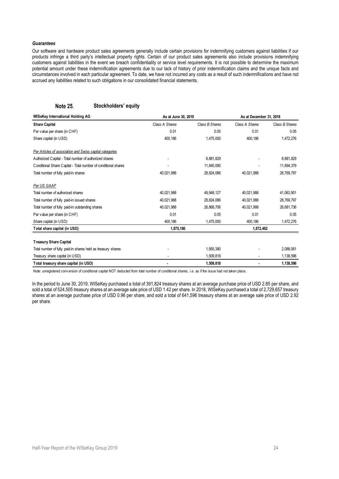### *Guarantees*

Our software and hardware product sales agreements generally include certain provisions for indemnifying customers against liabilities if our products infringe a third party's intellectual property rights. Certain of our product sales agreements also include provisions indemnifying customers against liabilities in the event we breach confidentiality or service level requirements. It is not possible to determine the maximum potential amount under these indemnification agreements due to our lack of history of prior indemnification claims and the unique facts and circumstances involved in each particular agreement. To date, we have not incurred any costs as a result of such indemnifications and have not accrued any liabilities related to such obligations in our consolidated financial statements.

#### **Note 25. Stockholders' equity**

| WISeKey International Holding AG                               | As at June 30, 2019 |                | As at December 31, 2018 |                |
|----------------------------------------------------------------|---------------------|----------------|-------------------------|----------------|
| <b>Share Capital</b>                                           | Class A Shares      | Class B Shares | Class A Shares          | Class B Shares |
| Par value per share (in CHF)                                   | 0.01                | 0.05           | 0.01                    | 0.05           |
| Share capital (in USD)                                         | 400,186             | 1,475,000      | 400,186                 | 1,472,276      |
| Per Articles of association and Swiss capital categories       |                     |                |                         |                |
| Authorized Capital - Total number of authorized shares         |                     | 8,881,829      |                         | 8,881,829      |
| Conditional Share Capital - Total number of conditional shares |                     | 11,840,090     |                         | 11,894,379     |
| Total number of fully paid-in shares                           | 40,021,988          | 28,824,086     | 40,021,988              | 28,769,797     |
| Per US GAAP                                                    |                     |                |                         |                |
| Total number of authorized shares                              | 40,021,988          | 49,948,127     | 40,021,988              | 41,063,901     |
| Total number of fully paid-in issued shares                    | 40,021,988          | 28,824,086     | 40,021,988              | 28,769,797     |
| Total number of fully paid-in outstanding shares               | 40,021,988          | 26.868.706     | 40,021,988              | 26,681,736     |
| Par value per share (in CHF)                                   | 0.01                | 0.05           | 0.01                    | 0.05           |
| Share capital (in USD)                                         | 400,186             | 1,475,000      | 400,186                 | 1,472,276      |
| Total share capital (in USD)                                   | 1,875,186           |                | 1,872,462               |                |
| <b>Treasury Share Capital</b>                                  |                     |                |                         |                |
| Total number of fully paid-in shares held as treasury shares   |                     | 1,955,380      |                         | 2,088,061      |
| Treasury share capital (in USD)                                |                     | 1,509,818      |                         | 1,138,596      |
| Total treasury share capital (in USD)                          |                     | 1,509,818      |                         | 1,138,596      |

Note: unregistered conversion of conditional capital NOT deducted from total number of conditional shares, i.e. as if the issue had not taken place.

In the period to June 30, 2019, WISeKey purchased a total of 391,824 treasury shares at an average purchase price of USD 2.85 per share, and sold a total of 524,505 treasury shares at an average sale price of USD 1.42 per share. In 2018, WISeKey purchased a total of 2,729,657 treasury shares at an average purchase price of USD 0.96 per share, and sold a total of 641,596 treasury shares at an average sale price of USD 2.92 per share.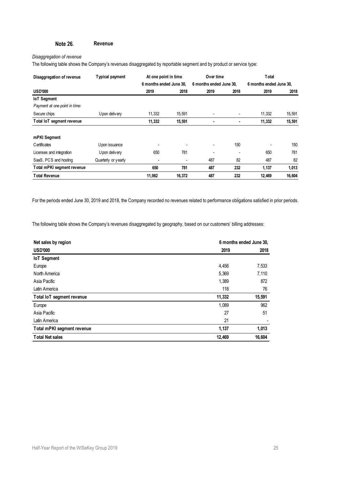#### Note 26. **Revenue**

### *Disaggregation of revenue*

The following table shows the Company's revenues disaggregated by reportable segment and by product or service type:

| Disaggregation of revenue     | Typical payment     | At one point in time     |                          | Over time               |                          | Total                   |        |
|-------------------------------|---------------------|--------------------------|--------------------------|-------------------------|--------------------------|-------------------------|--------|
|                               |                     | 6 months ended June 30.  |                          | 6 months ended June 30. |                          | 6 months ended June 30. |        |
| <b>USD'000</b>                |                     | 2019                     | 2018                     | 2019                    | 2018                     | 2019                    | 2018   |
| <b>IoT</b> Segment            |                     |                          |                          |                         |                          |                         |        |
| Payment at one point in time: |                     |                          |                          |                         |                          |                         |        |
| Secure chips                  | U pon delivery      | 11,332                   | 15,591                   |                         | $\overline{\phantom{a}}$ | 11,332                  | 15,591 |
| Total IoT segment revenue     |                     | 11,332                   | 15,591                   |                         | ٠                        | 11,332                  | 15,591 |
| mPKI Segment                  |                     |                          |                          |                         |                          |                         |        |
| Certificates                  | Upon issuance       |                          |                          |                         | 150                      |                         | 150    |
| Licenses and integration      | Upon delivery       | 650                      | 781                      |                         | $\overline{\phantom{a}}$ | 650                     | 781    |
| SaaS, PCS and hosting         | Quarterly or yearly | $\overline{\phantom{a}}$ | $\overline{\phantom{0}}$ | 487                     | 82                       | 487                     | 82     |
| Total mPKI segment revenue    |                     | 650                      | 781                      | 487                     | 232                      | 1,137                   | 1,013  |
| <b>Total Revenue</b>          |                     | 11,982                   | 16.372                   | 487                     | 232                      | 12,469                  | 16,604 |

For the periods ended June 30, 2019 and 2018, the Company recorded no revenues related to performance obligations satisfied in prior periods.

The following table shows the Company's revenues disaggregated by geography, based on our customers' billing addresses:

| Net sales by region        |        | 6 months ended June 30. |
|----------------------------|--------|-------------------------|
| <b>USD'000</b>             | 2019   | 2018                    |
| <b>IoT</b> Segment         |        |                         |
| Europe                     | 4,456  | 7,533                   |
| North America              | 5,369  | 7,110                   |
| Asia Pacific               | 1,389  | 872                     |
| Latin America              | 118    | 76                      |
| Total IoT segment revenue  | 11,332 | 15,591                  |
| Europe                     | 1,089  | 962                     |
| Asia Pacific               | 27     | 51                      |
| Latin America              | 21     |                         |
| Total mPKI segment revenue | 1,137  | 1,013                   |
| <b>Total Net sales</b>     | 12,469 | 16,604                  |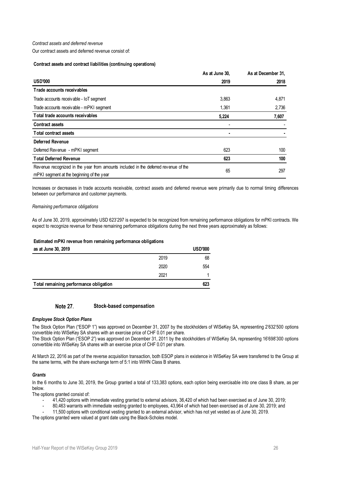### *Contract assets and deferred revenue*

Our contract assets and deferred revenue consist of:

#### **Contract assets and contract liabilities (continuing operations)**

|                                                                                                                                  | As at June 30, | As at December 31. |
|----------------------------------------------------------------------------------------------------------------------------------|----------------|--------------------|
| <b>USD'000</b>                                                                                                                   | 2019           | 2018               |
| Trade accounts receivables                                                                                                       |                |                    |
| Trade accounts receivable - IoT segment                                                                                          | 3,863          | 4,871              |
| Trade accounts receivable - mPKI segment                                                                                         | 1,361          | 2,736              |
| Total trade accounts receivables                                                                                                 | 5,224          | 7,607              |
| <b>Contract assets</b>                                                                                                           |                |                    |
| <b>Total contract assets</b>                                                                                                     |                |                    |
| <b>Deferred Revenue</b>                                                                                                          |                |                    |
| Deferred Revenue - mPKI segment                                                                                                  | 623            | 100                |
| <b>Total Deferred Revenue</b>                                                                                                    | 623            | 100                |
| Revenue recognized in the year from amounts included in the deferred revenue of the<br>mPKI segment at the beginning of the year | 65             | 297                |

Increases or decreases in trade accounts receivable, contract assets and deferred revenue were primarily due to normal timing differences between our performance and customer payments.

*Remaining performance obligations*

As of June 30, 2019, approximately USD 623'297 is expected to be recognized from remaining performance obligations for mPKI contracts. We expect to recognize revenue for these remaining performance obligations during the next three years approximately as follows:

### **Estimated mPKI revenue from remaining performance obligations**

| as at June 30, 2019                    |      | <b>USD'000</b> |
|----------------------------------------|------|----------------|
|                                        | 2019 | 68             |
|                                        | 2020 | 554            |
|                                        | 2021 |                |
| Total remaining performance obligation |      | 623            |

#### Note 27. **Stock-based compensation**

### *Employee Stock Option Plans*

The Stock Option Plan ("ESOP 1") was approved on December 31, 2007 by the stockholders of WISeKey SA, representing 2'632'500 options convertible into WISeKey SA shares with an exercise price of CHF 0.01 per share.

The Stock Option Plan ("ESOP 2") was approved on December 31, 2011 by the stockholders of WISeKey SA, representing 16'698'300 options convertible into WISeKey SA shares with an exercise price of CHF 0.01 per share.

At March 22, 2016 as part of the reverse acquisition transaction, both ESOP plans in existence in WISeKey SA were transferred to the Group at the same terms, with the share exchange term of 5:1 into WIHN Class B shares.

### *Grants*

In the 6 months to June 30, 2019, the Group granted a total of 133,383 options, each option being exercisable into one class B share, as per below.

The options granted consist of:

- 41,420 options with immediate vesting granted to external advisors, 36,420 of which had been exercised as of June 30, 2019;
- 80,463 warrants with immediate vesting granted to employees, 43,964 of which had been exercised as of June 30, 2019; and

- 11,500 options with conditional vesting granted to an external advisor, which has not yet vested as of June 30, 2019.

The options granted were valued at grant date using the Black-Scholes model.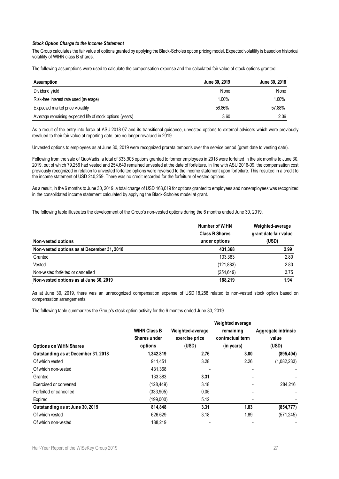### *Stock Option Charge to the Income Statement*

The Group calculates the fair value of options granted by applying the Black-Scholes option pricing model. Expected volatility is based on historical volatility of WIHN class B shares.

The following assumptions were used to calculate the compensation expense and the calculated fair value of stock options granted:

| <b>Assumption</b>                                        | June 30, 2019 | June 30, 2018 |
|----------------------------------------------------------|---------------|---------------|
| Dividend yield                                           | None          | None          |
| Risk-free interest rate used (average)                   | 1.00%         | 1.00%         |
| Expected market price volatility                         | 56.86%        | 57.88%        |
| Average remaining expected life of stock options (years) | 3.60          | 2.36          |

As a result of the entry into force of ASU 2018-07 and its transitional guidance, unvested options to external advisers which were previously revalued to their fair value at reporting date, are no longer revalued in 2019.

Unvested options to employees as at June 30, 2019 were recognized prorata temporis over the service period (grant date to vesting date).

Following from the sale of QuoVadis, a total of 333,905 options granted to former employees in 2018 were forfeited in the six months to June 30, 2019, out of which 79,256 had vested and 254,649 remained unvested at the date of forfeiture. In line with ASU 2016-09, the compensation cost previously recognized in relation to unvested forfeited options were reversed to the income statement upon forfeiture. This resulted in a credit to the income statement of USD 240,259. There was no credit recorded for the forfeiture of vested options.

As a result, in the 6 months to June 30, 2019, a total charge of USD 163,019 for options granted to employees and nonemployees was recognized in the consolidated income statement calculated by applying the Black-Scholes model at grant.

The following table illustrates the development of the Group's non-vested options during the 6 months ended June 30, 2019.

|                                                                  | Number of WIHN<br><b>Class B Shares</b><br>under options | Weighted-average<br>grant date fair value<br>(USD) |
|------------------------------------------------------------------|----------------------------------------------------------|----------------------------------------------------|
| Non-vested options<br>Non-vested options as at December 31, 2018 | 431,368                                                  | 2.99                                               |
| Granted                                                          | 133.383                                                  | 2.80                                               |
| Vested                                                           | (121, 883)                                               | 2.80                                               |
| Non-vested forfeited or cancelled                                | (254, 649)                                               | 3.75                                               |
| Non-vested options as at June 30, 2019                           | 188.219                                                  | 1.94                                               |

As at June 30, 2019, there was an unrecognized compensation expense of USD 18,258 related to non-vested stock option based on compensation arrangements.

The following table summarizes the Group's stock option activity for the 6 months ended June 30, 2019.

|                                     |                     |                  | Weighted average |                     |
|-------------------------------------|---------------------|------------------|------------------|---------------------|
|                                     | <b>WIHN Class B</b> | Weighted-average | remaining        | Aggregate intrinsic |
|                                     | <b>Shares under</b> | exercise price   | contractual term | value               |
| <b>Options on WIHN Shares</b>       | options             | (USD)            | (in years)       | (USD)               |
| Outstanding as at December 31, 2018 | 1,342,819           | 2.76             | 3.00             | (895, 404)          |
| Of which vested                     | 911.451             | 3.28             | 2.26             | (1,082,233)         |
| Of which non-vested                 | 431,368             |                  |                  |                     |
| Granted                             | 133.383             | 3.31             |                  |                     |
| Exercised or converted              | (128, 449)          | 3.18             |                  | 284.216             |
| Forfeited or cancelled              | (333,905)           | 0.05             |                  |                     |
| Expired                             | (199,000)           | 5.12             |                  |                     |
| Outstanding as at June 30, 2019     | 814,848             | 3.31             | 1.83             | (854, 777)          |
| Of which vested                     | 626.629             | 3.18             | 1.89             | (571,245)           |
| Of which non-vested                 | 188.219             |                  |                  |                     |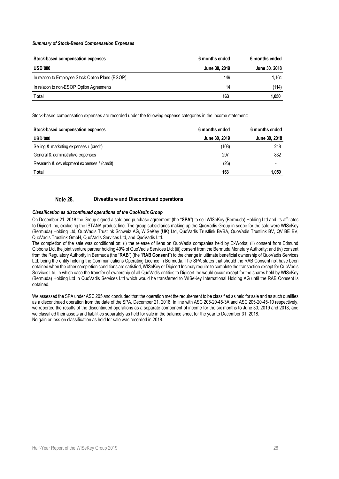### *Summary of Stock-Based Compensation Expenses*

| Stock-based compensation expenses                 | 6 months ended | 6 months ended |
|---------------------------------------------------|----------------|----------------|
| <b>USD'000</b>                                    | June 30, 2019  | June 30, 2018  |
| In relation to Employee Stock Option Plans (ESOP) | 149            | 1.164          |
| In relation to non-ESOP Option Agreements         | 14             | (114)          |
| <b>Total</b>                                      | 163            | 1,050          |

Stock-based compensation expenses are recorded under the following expense categories in the income statement:

| Stock-based compensation expenses          | 6 months ended | 6 months ended           |
|--------------------------------------------|----------------|--------------------------|
| <b>USD'000</b>                             | June 30, 2019  | June 30, 2018            |
| Selling & marketing expenses / (credit)    | (108)          | 218                      |
| General & administrative expenses          | 297            | 832                      |
| Research & development expenses / (credit) | (26)           | $\overline{\phantom{0}}$ |
| <b>T</b> otal                              | 163            | 1.050                    |

#### **Note 28. Divestiture and Discontinued operations**

#### <span id="page-27-0"></span>*Classification as discontinued operations of the QuoVadis Group*

On December 21, 2018 the Group signed a sale and purchase agreement (the "**SPA**") to sell WISeKey (Bermuda) Holding Ltd and its affiliates to Digicert Inc, excluding the ISTANA product line. The group subsidiaries making up the QuoVadis Group in scope for the sale were WISeKey (Bermuda) Holding Ltd, QuoVadis Trustlink Schweiz AG, WISeKey (UK) Ltd, QuoVadis Trustlink BVBA, QuoVadis Trustlink BV, QV BE BV, QuoVadis Trustlink GmbH, QuoVadis Services Ltd, and QuoVadis Ltd.

The completion of the sale was conditional on: (i) the release of liens on QuoVadis companies held by ExWorks; (ii) consent from Edmund Gibbons Ltd, the joint venture partner holding 49% of QuoVadis Services Ltd; (iii) consent from the Bermuda Monetary Authority; and (iv) consent from the Regulatory Authority in Bermuda (the "**RAB**") (the "**RAB Consent**") to the change in ultimate beneficial ownership of QuoVadis Services Ltd, being the entity holding the Communications Operating Licence in Bermuda. The SPA states that should the RAB Consent not have been obtained when the other completion conditions are satisfied, WISeKey or Digicert Inc may require to complete the transaction except for QuoVadis Services Ltd, in which case the transfer of ownership of all QuoVadis entities to Digicert Inc would occur except for the shares held by WISeKey (Bermuda) Holding Ltd in QuoVadis Services Ltd which would be transferred to WISeKey International Holding AG until the RAB Consent is obtained.

We assessed the SPA under ASC 205 and concluded that the operation met the requirement to be classified as held for sale and as such qualifies as a discontinued operation from the date of the SPA, December 21, 2018. In line with ASC 205-20-45-3A and ASC 205-20-45-10 respectively, we reported the results of the discontinued operations as a separate component of income for the six months to June 30, 2019 and 2018, and we classified their assets and liabilities separately as held for sale in the balance sheet for the year to December 31, 2018. No gain or loss on classification as held for sale was recorded in 2018.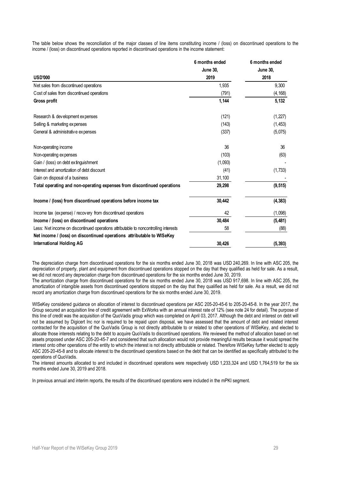The table below shows the reconciliation of the major classes of line items constituting income / (loss) on discontinued operations to the income / (loss) on discontinued operations reported in discontinued operations in the income statement:

|                                                                                      | 6 months ended  | 6 months ended  |
|--------------------------------------------------------------------------------------|-----------------|-----------------|
|                                                                                      | <b>June 30,</b> | <b>June 30,</b> |
| <b>USD'000</b>                                                                       | 2019            | 2018            |
| Net sales from discontinued operations                                               | 1,935           | 9,300           |
| Cost of sales from discontinued operations                                           | (791)           | (4, 168)        |
| Gross profit                                                                         | 1,144           | 5,132           |
| Research & development expenses                                                      | (121)           | (1, 227)        |
| Selling & marketing expenses                                                         | (143)           | (1, 453)        |
| General & administrative expenses                                                    | (337)           | (5,075)         |
| Non-operating income                                                                 | 36              | 36              |
| Non-operating expenses                                                               | (103)           | (63)            |
| Gain / (loss) on debt extinguishment                                                 | (1,093)         |                 |
| Interest and amortization of debt discount                                           | (41)            | (1,733)         |
| Gain on disposal of a business                                                       | 31,100          |                 |
| Total operating and non-operating expenses from discontinued operations              | 29,298          | (9, 515)        |
| Income / (loss) from discontinued operations before income tax                       | 30.442          | (4, 383)        |
| Income tax (expense) / recovery from discontinued operations                         | 42              | (1,098)         |
| Income / (loss) on discontinued operations                                           | 30,484          | (5,481)         |
| Less: Net income on discontinued operations attributable to noncontrolling interests | 58              | (88)            |
| Net income / (loss) on discontinued operations attributable to WISeKey               |                 |                 |
| <b>International Holding AG</b>                                                      | 30,426          | (5, 393)        |

The depreciation charge from discontinued operations for the six months ended June 30, 2018 was USD 240,269. In line with ASC 205, the depreciation of property, plant and equipment from discontinued operations stopped on the day that they qualified as held for sale. As a result, we did not record any depreciation charge from discontinued operations for the six months ended June 30, 2019.

The amortization charge from discontinued operations for the six months ended June 30, 2018 was USD 917,698. In line with ASC 205, the amortization of intangible assets from discontinued operations stopped on the day that they qualified as held for sale. As a result, we did not record any amortization charge from discontinued operations for the six months ended June 30, 2019.

WISeKey considered guidance on allocation of interest to discontinued operations per ASC 205-20-45-6 to 205-20-45-8. In the year 2017, the Group secured an acquisition line of credit agreement with ExWorks with an annual interest rate of 12% (see note 24 for detail). The purpose of this line of credit was the acquisition of the QuoVadis group which was completed on April 03, 2017. Although the debt and interest on debt will not be assumed by Digicert Inc nor is required to be repaid upon disposal, we have assessed that the amount of debt and related interest contracted for the acquisition of the QuoVadis Group is not directly attributable to or related to other operations of WISeKey, and elected to allocate those interests relating to the debt to acquire QuoVadis to discontinued operations. We reviewed the method of allocation based on net assets proposed under ASC 205-20-45-7 and considered that such allocation would not provide meaningful results because it would spread the interest onto other operations of the entity to which the interest is not directly attributable or related. Therefore WISeKey further elected to apply ASC 205-20-45-8 and to allocate interest to the discontinued operations based on the debt that can be identified as specifically attributed to the operations of QuoVadis.

The interest amounts allocated to and included in discontinued operations were respectively USD 1,233,324 and USD 1,764,519 for the six months ended June 30, 2019 and 2018.

In previous annual and interim reports, the results of the discontinued operations were included in the mPKI segment.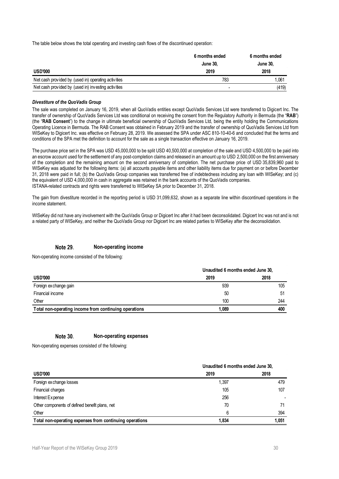The table below shows the total operating and investing cash flows of the discontinued operation:

|                                                     | 6 months ended  | 6 months ended  |
|-----------------------------------------------------|-----------------|-----------------|
|                                                     | <b>June 30.</b> | <b>June 30.</b> |
| <b>USD'000</b>                                      | 2019            | 2018            |
| Net cash provided by (used in) operating activities | 783             | 1.061           |
| Net cash provided by (used in) investing activities |                 | (419)           |

#### *Divestiture of the QuoVadis Group*

The sale was completed on January 16, 2019, when all QuoVadis entities except QuoVadis Services Ltd were transferred to Digicert Inc. The transfer of ownership of QuoVadis Services Ltd was conditional on receiving the consent from the Regulatory Authority in Bermuda (the "**RAB**") (the "**RAB Consent**") to the change in ultimate beneficial ownership of QuoVadis Services Ltd, being the entity holding the Communications Operating Licence in Bermuda. The RAB Consent was obtained in February 2019 and the transfer of ownership of QuoVadis Services Ltd from WISeKey to Digicert Inc. was effective on February 28, 2019. We assessed the SPA under ASC 810-10-40-6 and concluded that the terms and conditions of the SPA met the definition to account for the sale as a single transaction effective on January 16, 2019.

The purchase price set in the SPA was USD 45,000,000 to be split USD 40,500,000 at completion of the sale and USD 4,500,000 to be paid into an escrow account used for the settlement of any post-completion claims and released in an amount up to USD 2,500,000 on the first anniversary of the completion and the remaining amount on the second anniversary of completion. The net purchase price of USD 35,839,960 paid to WISeKey was adjusted for the following items: (a) all accounts payable items and other liability items due for payment on or before December 31, 2018 were paid in full; (b) the QuoVadis Group companies was transferred free of indebtedness including any loan with WISeKey; and (c) the equivalent of USD 4,000,000 in cash in aggregate was retained in the bank accounts of the QuoVadis companies. ISTANA-related contracts and rights were transferred to WISeKey SA prior to December 31, 2018.

The gain from divestiture recorded in the reporting period is USD 31,099,632, shown as a separate line within discontinued operations in the income statement.

WISeKey did not have any involvement with the QuoVadis Group or Digicert Inc after it had been deconsolidated. Digicert Inc was not and is not a related party of WISeKey, and neither the QuoVadis Group nor Digicert Inc are related parties to WISeKey after the deconsolidation.

#### Note 29. **Non-operating income**

Non-operating income consisted of the following:

|                                                       | Unaudited 6 months ended June 30, |      |  |  |
|-------------------------------------------------------|-----------------------------------|------|--|--|
| <b>USD'000</b>                                        | 2019                              | 2018 |  |  |
| Foreign ex change gain                                | 939                               | 105  |  |  |
| Financial income                                      | 50                                | 51   |  |  |
| Other                                                 | 100                               | 244  |  |  |
| Total non-operating income from continuing operations | 1.089                             | 400  |  |  |

#### Note 30. **Non-operating expenses**

Non-operating expenses consisted of the following:

|                                                         | Unaudited 6 months ended June 30, |       |  |  |
|---------------------------------------------------------|-----------------------------------|-------|--|--|
| <b>USD'000</b>                                          | 2019                              | 2018  |  |  |
| Foreign ex change losses                                | 1,397                             | 479   |  |  |
| Financial charges                                       | 105                               | 107   |  |  |
| Interest Expense                                        | 256                               |       |  |  |
| Other components of defined benefit plans, net          | 70                                | 71    |  |  |
| Other                                                   | 6                                 | 394   |  |  |
| Total non-operating expenses from continuing operations | 1.834                             | 1.051 |  |  |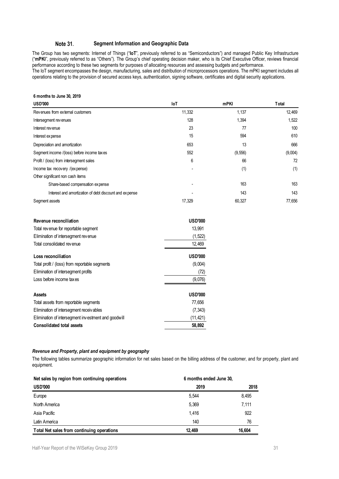#### Note 31. **Segment Information and Geographic Data**

The Group has two segments: Internet of Things ("**IoT**", previously referred to as "Semiconductors") and managed Public Key Infrastructure ("**mPKI**", previously referred to as "Others"). The Group's chief operating decision maker, who is its Chief Executive Officer, reviews financial performance according to these two segments for purposes of allocating resources and assessing budgets and performance. The IoT segment encompasses the design, manufacturing, sales and distribution of microprocessors operations. The mPKI segment includes all operations relating to the provision of secured access keys, authentication, signing software, certificates and digital security applications.

### **6 months to June 30, 2019**

| <b>USD'000</b>                                         | loT    | mPKI     | <b>T</b> otal |
|--------------------------------------------------------|--------|----------|---------------|
| Revenues from external customers                       | 11,332 | 1,137    | 12,469        |
| Intersegment revenues                                  | 128    | 1,394    | 1,522         |
| Interest revenue                                       | 23     | 77       | 100           |
| Interest expense                                       | 15     | 594      | 610           |
| Depreciation and amortization                          | 653    | 13       | 666           |
| Segment income /(loss) before income taxes             | 552    | (9, 556) | (9,004)       |
| Profit / (loss) from intersegment sales                | 6      | 66       | 72            |
| Income tax recovery /(expense)                         |        | (1)      | (1)           |
| Other significant non cash items                       |        |          |               |
| Share-based compensation expense                       |        | 163      | 163           |
| Interest and amortization of debt discount and expense |        | 143      | 143           |
| Segment assets                                         | 17,329 | 60,327   | 77,656        |

| Revenue reconciliation                              | <b>USD'000</b> |
|-----------------------------------------------------|----------------|
| Total revenue for reportable segment                | 13.991         |
| Elimination of intersegment revenue                 | (1, 522)       |
| Total consolidated revenue                          | 12,469         |
| Loss reconciliation                                 | <b>USD'000</b> |
| Total profit / (loss) from reportable segments      | (9,004)        |
| Elimination of intersegment profits                 | (72)           |
| Loss before income taxes                            | (9,076)        |
| Assets                                              | <b>USD'000</b> |
| Total assets from reportable segments               | 77.656         |
| Elimination of intersegment receivables             | (7, 343)       |
| Elimination of intersegment investment and goodwill | (11, 421)      |
| <b>Consolidated total assets</b>                    | 58.892         |

### *Revenue and Property, plant and equipment by geography*

The following tables summarize geographic information for net sales based on the billing address of the customer, and for property, plant and equipment.

| Net sales by region from continuing operations | 6 months ended June 30, |        |
|------------------------------------------------|-------------------------|--------|
| <b>USD'000</b>                                 | 2019                    | 2018   |
| Europe                                         | 5.544                   | 8.495  |
| North America                                  | 5.369                   | 7.111  |
| Asia Pacific                                   | 1.416                   | 922    |
| Latin America                                  | 140                     | 76     |
| Total Net sales from continuing operations     | 12.469                  | 16.604 |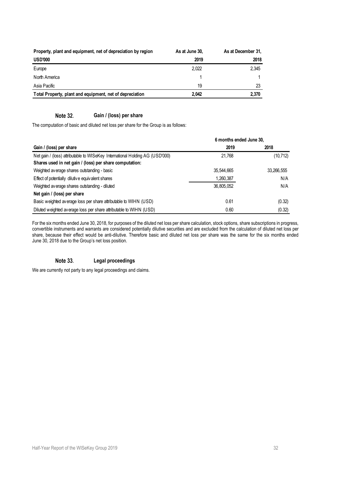| Property, plant and equipment, net of depreciation by region | As at June 30, | As at December 31. |
|--------------------------------------------------------------|----------------|--------------------|
| <b>USD'000</b>                                               | 2019           | 2018               |
| Europe                                                       | 2.022          | 2.345              |
| North America                                                |                |                    |
| Asia Pacific                                                 | 19             | 23                 |
| Total Property, plant and equipment, net of depreciation     | 2.042          | 2.370              |

#### Note 32. **Gain / (loss) per share**

The computation of basic and diluted net loss per share for the Group is as follows:

|                                                                              | 6 months ended June 30, |            |
|------------------------------------------------------------------------------|-------------------------|------------|
| Gain / (loss) per share                                                      | 2019                    | 2018       |
| Net gain / (loss) attributable to WISeKey International Holding AG (USD'000) | 21.768                  | (10, 712)  |
| Shares used in net gain / (loss) per share computation:                      |                         |            |
| Weighted average shares outstanding - basic                                  | 35.544.665              | 33,266,555 |
| Effect of potentially dilutive equivalent shares                             | 1,260,387               | N/A        |
| Weighted average shares outstanding - diluted                                | 36.805.052              | N/A        |
| Net gain / (loss) per share                                                  |                         |            |
| Basic weighted average loss per share attributable to WIHN (USD)             | 0.61                    | (0.32)     |
| Diluted weighted average loss per share attributable to WIHN (USD)           | 0.60                    | (0.32)     |

For the six months ended June 30, 2018, for purposes of the diluted net loss per share calculation, stock options, share subscriptions in progress, convertible instruments and warrants are considered potentially dilutive securities and are excluded from the calculation of diluted net loss per share, because their effect would be anti-dilutive. Therefore basic and diluted net loss per share was the same for the six months ended June 30, 2018 due to the Group's net loss position.

#### Note 33. **Legal proceedings**

We are currently not party to any legal proceedings and claims.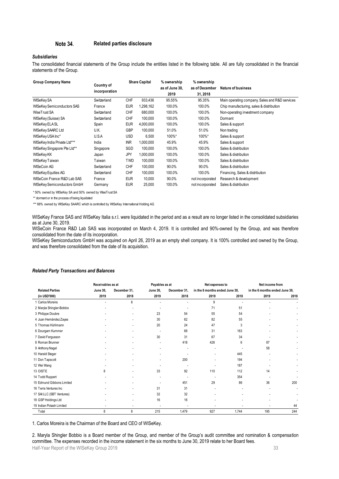#### Note 34. **Related parties disclosure**

### *Subsidiaries*

The consolidated financial statements of the Group include the entities listed in the following table. All are fully consolidated in the financial statements of the Group.

| <b>Group Company Name</b>         | Country of<br>incorporation |            | <b>Share Capital</b> | % ownership<br>as of June 30.<br>2019 | % ownership<br>as of December<br>31, 2018 | Nature of business                             |
|-----------------------------------|-----------------------------|------------|----------------------|---------------------------------------|-------------------------------------------|------------------------------------------------|
| <b>WISeKey SA</b>                 | Switzerland                 | <b>CHF</b> | 933,436              | 95.55%                                | 95.35%                                    | Main operating company. Sales and R&D services |
| <b>WISeKey Semiconductors SAS</b> | France                      | <b>EUR</b> | 1,298,162            | 100.0%                                | 100.0%                                    | Chip manufacturing, sales & distribution       |
| WiseTrust SA                      | Switzerland                 | <b>CHF</b> | 680,000              | 100.0%                                | 100.0%                                    | Non-operating investment company               |
| WISeKey (Suisse) SA               | Switzerland                 | <b>CHF</b> | 100,000              | 100.0%                                | 100.0%                                    | Dormant                                        |
| WISeKey ELA SL                    | Spain                       | <b>EUR</b> | 4,000,000            | 100.0%                                | 100.0%                                    | Sales & support                                |
| WISeKey SAARC Ltd                 | U.K.                        | <b>GBP</b> | 100.000              | 51.0%                                 | 51.0%                                     | Non trading                                    |
| WISeKey USA Inc*                  | U.S.A                       | <b>USD</b> | 6,500                | 100%*                                 | 100%*                                     | Sales & support                                |
| WISeKey India Private Ltd***      | India                       | <b>INR</b> | 1,000,000            | 45.9%                                 | 45.9%                                     | Sales & support                                |
| WISeKey Singapore Pte Ltd**       | Singapore                   | SGD        | 100,000              | 100.0%                                | 100.0%                                    | Sales & distribution                           |
| WISeKey KK                        | Japan                       | JPY        | 1,000,000            | 100.0%                                | 100.0%                                    | Sales & distribution                           |
| WISeKey Taiwan                    | Taiwan                      | TWD        | 100,000              | 100.0%                                | 100.0%                                    | Sales & distribution                           |
| WISeCoin AG                       | Switzerland                 | <b>CHF</b> | 100,000              | 90.0%                                 | 90.0%                                     | Sales & distribution                           |
| <b>WISeKey Equities AG</b>        | Switzerland                 | <b>CHF</b> | 100,000              | 100.0%                                | 100.0%                                    | Financing, Sales & distribution                |
| WISeCoin France R&D Lab SAS       | France                      | <b>EUR</b> | 10,000               | 90.0%                                 | not incorporated                          | Research & development                         |
| WISeKey Semiconductors GmbH       | Germany                     | <b>EUR</b> | 25,000               | 100.0%                                | not incorporated                          | Sales & distribution                           |

|                                                                                                                                                                                                                                                                                                                                  | incorporation     |                      |           | as of June 30,               | as of December                         | <b>Nature of business</b>       |                                                |           |
|----------------------------------------------------------------------------------------------------------------------------------------------------------------------------------------------------------------------------------------------------------------------------------------------------------------------------------|-------------------|----------------------|-----------|------------------------------|----------------------------------------|---------------------------------|------------------------------------------------|-----------|
|                                                                                                                                                                                                                                                                                                                                  |                   |                      |           | 2019                         | 31, 2018                               |                                 |                                                |           |
| WISeKey SA                                                                                                                                                                                                                                                                                                                       | Switzerland       | <b>CHF</b>           | 933,436   | 95.55%                       | 95.35%                                 |                                 | Main operating company. Sales and R&D services |           |
| <b>WISeKey Semiconductors SAS</b>                                                                                                                                                                                                                                                                                                | France            | EUR                  | 1,298,162 | 100.0%                       | 100.0%                                 |                                 | Chip manufacturing, sales & distribution       |           |
| WiseTrust SA                                                                                                                                                                                                                                                                                                                     | Switzerland       | <b>CHF</b>           | 680,000   | 100.0%                       | 100.0%                                 |                                 | Non-operating investment company               |           |
| WISeKey (Suisse) SA                                                                                                                                                                                                                                                                                                              | Switzerland       | <b>CHF</b>           | 100,000   | 100.0%                       | 100.0%                                 | Dormant                         |                                                |           |
| WISeKey ELA SL                                                                                                                                                                                                                                                                                                                   | Spain             | <b>EUR</b>           | 4,000,000 | 100.0%                       | 100.0%                                 | Sales & support                 |                                                |           |
| WISeKey SAARC Ltd                                                                                                                                                                                                                                                                                                                | U.K.              | GBP                  | 100,000   | 51.0%                        | 51.0%                                  | Non trading                     |                                                |           |
| WISeKey USA Inc*                                                                                                                                                                                                                                                                                                                 | U.S.A             | USD                  | 6,500     | 100%*                        | 100%*                                  | Sales & support                 |                                                |           |
| WISeKey India Private Ltd***                                                                                                                                                                                                                                                                                                     | India             | INR                  | 1,000,000 | 45.9%                        | 45.9%                                  | Sales & support                 |                                                |           |
| WISeKey Singapore Pte Ltd**                                                                                                                                                                                                                                                                                                      | Singapore         | SGD                  | 100,000   | 100.0%                       | 100.0%                                 | Sales & distribution            |                                                |           |
| WISeKey KK                                                                                                                                                                                                                                                                                                                       | Japan             | JPY                  | 1,000,000 | 100.0%                       | 100.0%                                 | Sales & distribution            |                                                |           |
| WISeKey Taiwan                                                                                                                                                                                                                                                                                                                   | Taiwan            | TWD                  | 100,000   | 100.0%                       | 100.0%                                 | Sales & distribution            |                                                |           |
| WISeCoin AG                                                                                                                                                                                                                                                                                                                      | Switzerland       | <b>CHF</b>           | 100,000   | 90.0%                        | 90.0%                                  | Sales & distribution            |                                                |           |
| WISeKey Equities AG                                                                                                                                                                                                                                                                                                              | Switzerland       | <b>CHF</b>           | 100,000   | 100.0%                       | 100.0%                                 | Financing, Sales & distribution |                                                |           |
| WISeCoin France R&D Lab SAS                                                                                                                                                                                                                                                                                                      | France            | <b>EUR</b>           | 10,000    | 90.0%                        | not incorporated                       | Research & development          |                                                |           |
| WISeKey Semiconductors GmbH                                                                                                                                                                                                                                                                                                      | Germany           | <b>EUR</b>           | 25,000    | 100.0%                       | not incorporated                       | Sales & distribution            |                                                |           |
|                                                                                                                                                                                                                                                                                                                                  |                   |                      |           |                              |                                        |                                 |                                                |           |
| *50% owned by WISeKey SA and 50% owned by WiseTrust SA<br>** dormant or in the process of being liquidated<br>*** 88% owned by WISeKey SAARC which is controlled by WISeKey International Holding AG                                                                                                                             |                   |                      |           |                              |                                        |                                 |                                                |           |
|                                                                                                                                                                                                                                                                                                                                  |                   |                      |           |                              |                                        |                                 |                                                |           |
|                                                                                                                                                                                                                                                                                                                                  |                   |                      |           |                              |                                        |                                 |                                                |           |
|                                                                                                                                                                                                                                                                                                                                  | Receivables as at |                      |           | Payables as at               | Net expenses to                        |                                 | Net income from                                |           |
| <b>Related Parties</b><br>(in USD'000)                                                                                                                                                                                                                                                                                           | June 30,<br>2019  | December 31,<br>2018 | June 30,  | December 31,<br>2019<br>2018 | in the 6 months ended June 30,<br>2019 | 2018                            | in the 6 months ended June 30,<br>2019         | 2018      |
| 1 Carlos Moreira                                                                                                                                                                                                                                                                                                                 |                   | 8                    |           |                              | 9                                      |                                 |                                                |           |
| 2 Maryla Shingler-Bobbio                                                                                                                                                                                                                                                                                                         |                   |                      |           |                              | 71                                     | 51                              |                                                |           |
| 3 Philippe Doubre                                                                                                                                                                                                                                                                                                                |                   |                      |           | 23<br>54                     | 55                                     | 54                              |                                                |           |
| 4 Juan Hernández Zayas                                                                                                                                                                                                                                                                                                           |                   |                      |           | 30<br>62                     | 82                                     | 55                              |                                                |           |
| 5 Thomas Hürlimann                                                                                                                                                                                                                                                                                                               |                   |                      |           | 20<br>24                     | 47                                     | 3                               |                                                |           |
| 6 Dourgam Kummer                                                                                                                                                                                                                                                                                                                 |                   |                      |           | 68                           | 31                                     | 163                             |                                                |           |
| 7 David Fergusson                                                                                                                                                                                                                                                                                                                |                   |                      |           | 30<br>31                     | 67                                     | 34                              |                                                |           |
| 8 Roman Brunner                                                                                                                                                                                                                                                                                                                  |                   |                      |           | 418                          | 426                                    | 6                               | 87                                             |           |
| consolidated from the date of its incorporation.<br>WISeKey Semiconductors GmbH was acquired on April 26, 2019 as an empty shell company. It is 100% controlled and owned by the Group,<br>and was therefore consolidated from the date of its acquisition.<br><b>Related Party Transactions and Balances</b><br>9 Anthony Nagel |                   |                      |           |                              |                                        |                                 | 58                                             |           |
| 10 Harald Steger                                                                                                                                                                                                                                                                                                                 |                   |                      |           |                              |                                        | 445                             |                                                |           |
| 11 Don Tapscott                                                                                                                                                                                                                                                                                                                  |                   |                      |           | 200                          |                                        | 194                             |                                                |           |
|                                                                                                                                                                                                                                                                                                                                  |                   |                      |           |                              |                                        | 187                             |                                                |           |
| 12 Wei Wang<br>13 OISTE                                                                                                                                                                                                                                                                                                          | 8                 |                      |           | 33<br>92                     | 110                                    | 112                             | 14                                             |           |
| 14 Todd Ruppert                                                                                                                                                                                                                                                                                                                  |                   |                      |           |                              |                                        | 354                             |                                                |           |
| 15 Edmund Gibbons Limited                                                                                                                                                                                                                                                                                                        |                   |                      |           | 451                          | 29                                     | 86                              | 36                                             | 200       |
| 16 Terra Ventures Inc                                                                                                                                                                                                                                                                                                            |                   |                      |           | 31<br>31                     |                                        |                                 |                                                |           |
| 17 SAILLC (SBT Ventures)                                                                                                                                                                                                                                                                                                         |                   |                      |           | 32<br>32                     |                                        |                                 |                                                |           |
| 18 GSP Holdings Ltd                                                                                                                                                                                                                                                                                                              |                   |                      |           | 16<br>16                     |                                        |                                 |                                                |           |
| 19 Indian Potash Limited                                                                                                                                                                                                                                                                                                         | 8                 | 8                    |           | 215<br>1,479                 | 927                                    | 1,744                           | 195                                            | 44<br>244 |

#### *Related Party Transactions and Balances*

2. Maryla Shingler Bobbio is a Board member of the Group, and member of the Group's audit committee and nomination & compensation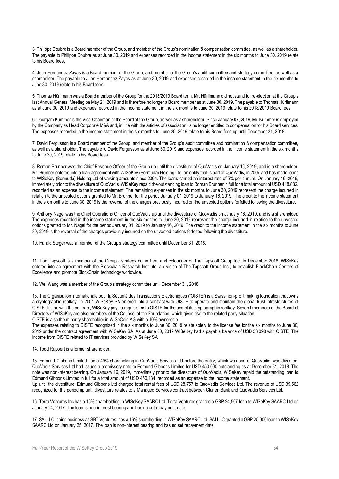3. Philippe Doubre is a Board member of the Group, and member of the Group's nomination & compensation committee, as well as a shareholder. The payable to Philippe Doubre as at June 30, 2019 and expenses recorded in the income statement in the six months to June 30, 2019 relate to his Board fees.

4. Juan Hernández Zayas is a Board member of the Group, and member of the Group's audit committee and strategy committee, as well as a shareholder. The payable to Juan Hernández Zayas as at June 30, 2019 and expenses recorded in the income statement in the six months to June 30, 2019 relate to his Board fees.

5. Thomas Hürlimann was a Board member of the Group for the 2018/2019 Board term. Mr. Hürlimann did not stand for re-election at the Group's last Annual General Meeting on May 21, 2019 and is therefore no longer a Board member as at June 30, 2019. The payable to Thomas Hürlimann as at June 30, 2019 and expenses recorded in the income statement in the six months to June 30, 2019 relate to his 2018/2019 Board fees.

6. Dourgam Kummer is the Vice-Chairman of the Board of the Group, as well as a shareholder. Since January 07, 2019, Mr. Kummer is employed by the Company as Head Corporate M&A and, in line with the articles of association, is no longer entitled to compensation for his Board services. The expenses recorded in the income statement in the six months to June 30, 2019 relate to his Board fees up until December 31, 2018.

7. David Fergusson is a Board member of the Group, and member of the Group's audit committee and nomination & compensation committee, as well as a shareholder. The payable to David Fergusson as at June 30, 2019 and expenses recorded in the income statement in the six months to June 30, 2019 relate to his Board fees.

8. Roman Brunner was the Chief Revenue Officer of the Group up until the divestiture of QuoVadis on January 16, 2019, and is a shareholder. Mr. Brunner entered into a loan agreement with WISeKey (Bermuda) Holding Ltd, an entity that is part of QuoVadis, in 2007 and has made loans to WISeKey (Bermuda) Holding Ltd of varying amounts since 2004. The loans carried an interest rate of 5% per annum. On January 16, 2019, immediately prior to the divestiture of QuoVadis, WISeKey repaid the outstanding loan to Roman Brunner in full for a total amount of USD 418,832, recorded as an expense to the income statement. The remaining expenses in the six months to June 30, 2019 represent the charge incurred in relation to the unvested options granted to Mr. Brunner for the period January 01, 2019 to January 16, 2019. The credit to the income statement in the six months to June 30, 2019 is the reversal of the charges previously incurred on the unvested options forfeited following the divestiture.

9. Anthony Nagel was the Chief Operations Officer of QuoVadis up until the divestiture of QuoVadis on January 16, 2019, and is a shareholder. The expenses recorded in the income statement in the six months to June 30, 2019 represent the charge incurred in relation to the unvested options granted to Mr. Nagel for the period January 01, 2019 to January 16, 2019. The credit to the income statement in the six months to June 30, 2019 is the reversal of the charges previously incurred on the unvested options forfeited following the divestiture.

10. Harald Steger was a member of the Group's strategy committee until December 31, 2018.

11. Don Tapscott is a member of the Group's strategy committee, and cofounder of The Tapscott Group Inc. In December 2018, WISeKey entered into an agreement with the Blockchain Research Institute, a division of The Tapscott Group Inc., to establish BlockChain Centers of Excellence and promote BlockChain technology worldwide.

12. Wei Wang was a member of the Group's strategy committee until December 31, 2018.

13. The Organisation Internationale pour la Sécurité des Transactions Electroniques ("OISTE") is a Swiss non-profit making foundation that owns a cryptographic rootkey. In 2001 WISeKey SA entered into a contract with OISTE to operate and maintain the global trust infrastructures of OISTE. In line with the contract, WISeKey pays a regular fee to OISTE for the use of its cryptographic rootkey. Several members of the Board of Directors of WISeKey are also members of the Counsel of the Foundation, which gives rise to the related party situation. OISTE is also the minority shareholder in WISeCoin AG with a 10% ownership.

The expenses relating to OISTE recognized in the six months to June 30, 2019 relate solely to the license fee for the six months to June 30, 2019 under the contract agreement with WISeKey SA. As at June 30, 2019 WISeKey had a payable balance of USD 33,098 with OISTE. The income from OISTE related to IT services provided by WISeKey SA.

14. Todd Ruppert is a former shareholder.

15. Edmund Gibbons Limited had a 49% shareholding in QuoVadis Services Ltd before the entity, which was part of QuoVadis, was divested. QuoVadis Services Ltd had issued a promissory note to Edmund Gibbons Limited for USD 450,000 outstanding as at December 31, 2018. The note was non-interest bearing. On January 16, 2019, immediately prior to the divestiture of QuoVadis, WISeKey repaid the outstanding loan to Edmund Gibbons Limited in full for a total amount of USD 450,134, recorded as an expense to the income statement.

Up until the divestiture, Edmund Gibbons Ltd charged total rental fees of USD 28,757 to QuoVadis Services Ltd. The revenue of USD 35,562 recognized for the period up until divestiture relates to a Managed Services contract between Clarien Bank and QuoVadis Services Ltd.

16. Terra Ventures Inc has a 16% shareholding in WISeKey SAARC Ltd. Terra Ventures granted a GBP 24,507 loan to WISeKey SAARC Ltd on January 24, 2017. The loan is non-interest bearing and has no set repayment date.

17. SAI LLC, doing business as SBT Ventures, has a 16% shareholding in WISeKey SAARC Ltd. SAI LLC granted a GBP 25,000 loan to WISeKey SAARC Ltd on January 25, 2017. The loan is non-interest bearing and has no set repayment date.